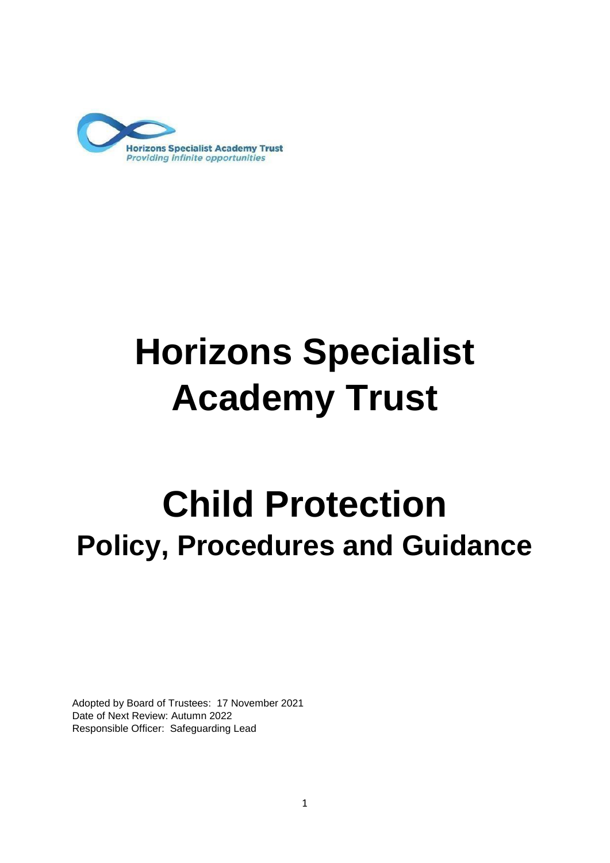

# **Horizons Specialist Academy Trust**

## **Child Protection Policy, Procedures and Guidance**

Adopted by Board of Trustees: 17 November 2021 Date of Next Review: Autumn 2022 Responsible Officer: Safeguarding Lead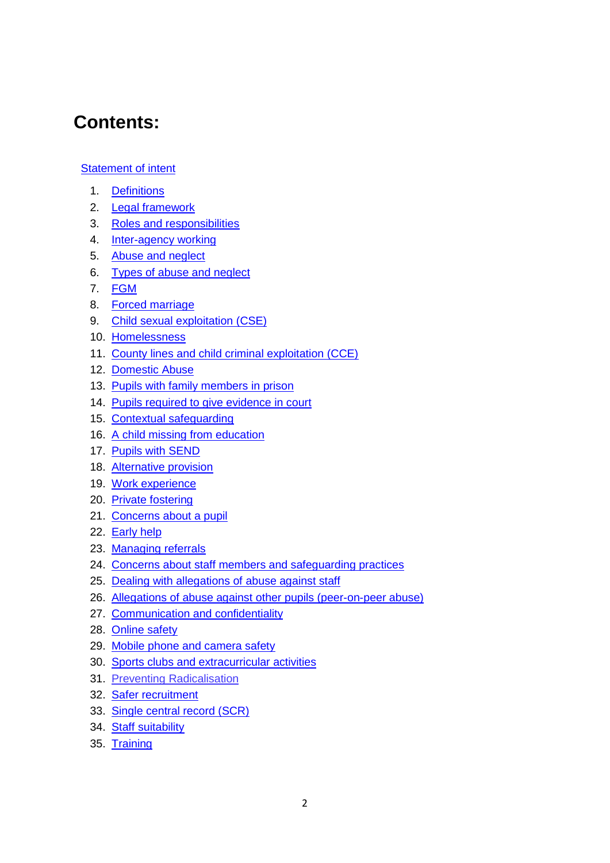## **Contents:**

#### Statement of intent

- 1. Definitions
- 2. Legal framework
- 3. Roles and responsibilities
- 4. Inter-agency working
- 5. Abuse and neglect
- 6. Types of abuse and neglect
- 7. FGM
- 8. Forced marriage
- 9. Child sexual exploitation (CSE)
- 10. Homelessness
- 11. County lines and child criminal exploitation (CCE)
- 12. Domestic Abuse
- 13. Pupils with family members in prison
- 14. Pupils required to give evidence in court
- 15. Contextual safeguarding
- 16. A child missing from education
- 17. Pupils with SEND
- 18. Alternative provision
- 19. Work experience
- 20. Private fostering
- 21. Concerns about a pupil
- 22. Early help
- 23. Managing referrals
- 24. Concerns about staff members and safeguarding practices
- 25. Dealing with allegations of abuse against staff
- 26. Allegations of abuse against other pupils (peer-on-peer abuse)
- 27. Communication and confidentiality
- 28. Online safety
- 29. Mobile phone and camera safety
- 30. Sports clubs and extracurricular activities
- 31. Preventing Radicalisation
- 32. Safer recruitment
- 33. Single central record (SCR)
- 34. Staff suitability
- 35. Training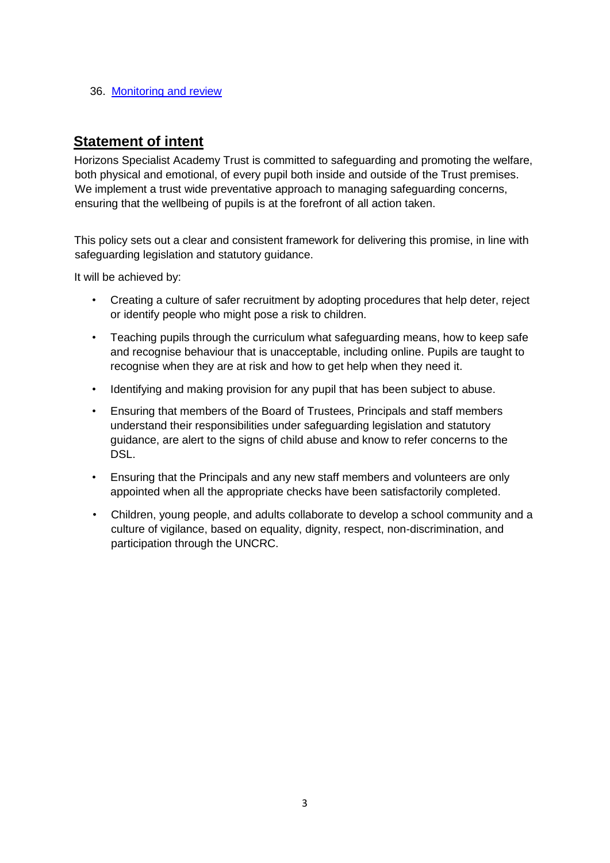#### 36. Monitoring and review

## **Statement of intent**

Horizons Specialist Academy Trust is committed to safeguarding and promoting the welfare, both physical and emotional, of every pupil both inside and outside of the Trust premises. We implement a trust wide preventative approach to managing safeguarding concerns, ensuring that the wellbeing of pupils is at the forefront of all action taken.

This policy sets out a clear and consistent framework for delivering this promise, in line with safeguarding legislation and statutory guidance.

It will be achieved by:

- Creating a culture of safer recruitment by adopting procedures that help deter, reject or identify people who might pose a risk to children.
- Teaching pupils through the curriculum what safeguarding means, how to keep safe and recognise behaviour that is unacceptable, including online. Pupils are taught to recognise when they are at risk and how to get help when they need it.
- Identifying and making provision for any pupil that has been subject to abuse.
- Ensuring that members of the Board of Trustees, Principals and staff members understand their responsibilities under safeguarding legislation and statutory guidance, are alert to the signs of child abuse and know to refer concerns to the DSL.
- Ensuring that the Principals and any new staff members and volunteers are only appointed when all the appropriate checks have been satisfactorily completed.
- Children, young people, and adults collaborate to develop a school community and a culture of vigilance, based on equality, dignity, respect, non-discrimination, and participation through the UNCRC.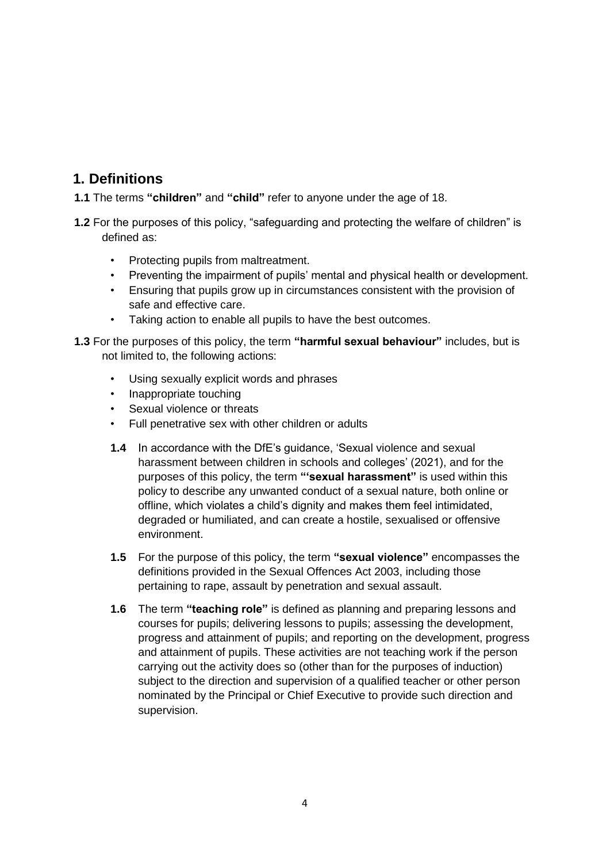## **1. Definitions**

- **1.1** The terms **"children"** and **"child"** refer to anyone under the age of 18.
- **1.2** For the purposes of this policy, "safeguarding and protecting the welfare of children" is defined as:
	- Protecting pupils from maltreatment.
	- Preventing the impairment of pupils' mental and physical health or development.
	- Ensuring that pupils grow up in circumstances consistent with the provision of safe and effective care.
	- Taking action to enable all pupils to have the best outcomes.
- **1.3** For the purposes of this policy, the term **"harmful sexual behaviour"** includes, but is not limited to, the following actions:
	- Using sexually explicit words and phrases
	- Inappropriate touching
	- Sexual violence or threats
	- Full penetrative sex with other children or adults
	- **1.4** In accordance with the DfE's guidance, 'Sexual violence and sexual harassment between children in schools and colleges' (2021), and for the purposes of this policy, the term **"'sexual harassment"** is used within this policy to describe any unwanted conduct of a sexual nature, both online or offline, which violates a child's dignity and makes them feel intimidated, degraded or humiliated, and can create a hostile, sexualised or offensive environment.
	- **1.5** For the purpose of this policy, the term **"sexual violence"** encompasses the definitions provided in the Sexual Offences Act 2003, including those pertaining to rape, assault by penetration and sexual assault.
	- **1.6** The term **"teaching role"** is defined as planning and preparing lessons and courses for pupils; delivering lessons to pupils; assessing the development, progress and attainment of pupils; and reporting on the development, progress and attainment of pupils. These activities are not teaching work if the person carrying out the activity does so (other than for the purposes of induction) subject to the direction and supervision of a qualified teacher or other person nominated by the Principal or Chief Executive to provide such direction and supervision.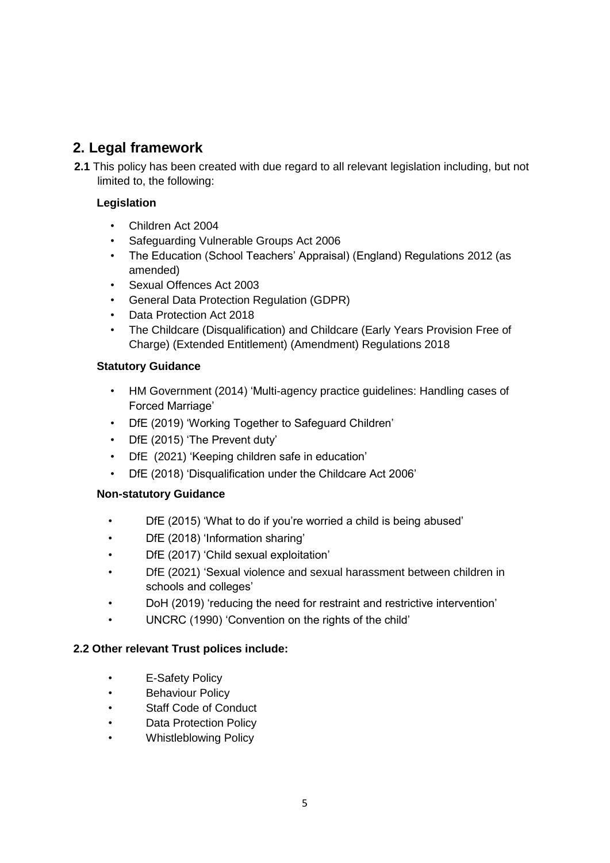## **2. Legal framework**

**2.1** This policy has been created with due regard to all relevant legislation including, but not limited to, the following:

#### **Legislation**

- Children Act 2004
- Safeguarding Vulnerable Groups Act 2006
- The Education (School Teachers' Appraisal) (England) Regulations 2012 (as amended)
- Sexual Offences Act 2003
- General Data Protection Regulation (GDPR)
- Data Protection Act 2018
- The Childcare (Disqualification) and Childcare (Early Years Provision Free of Charge) (Extended Entitlement) (Amendment) Regulations 2018

#### **Statutory Guidance**

- HM Government (2014) 'Multi-agency practice guidelines: Handling cases of Forced Marriage'
- DfE (2019) 'Working Together to Safeguard Children'
- DfE (2015) 'The Prevent duty'
- DfE (2021) 'Keeping children safe in education'
- DfE (2018) 'Disqualification under the Childcare Act 2006'

#### **Non-statutory Guidance**

- DfE (2015) 'What to do if you're worried a child is being abused'
- DfE (2018) 'Information sharing'
- DfE (2017) 'Child sexual exploitation'
- DfE (2021) 'Sexual violence and sexual harassment between children in schools and colleges'
- DoH (2019) 'reducing the need for restraint and restrictive intervention'
- UNCRC (1990) 'Convention on the rights of the child'

#### **2.2 Other relevant Trust polices include:**

- E-Safety Policy
- Behaviour Policy
- Staff Code of Conduct
- Data Protection Policy
- Whistleblowing Policy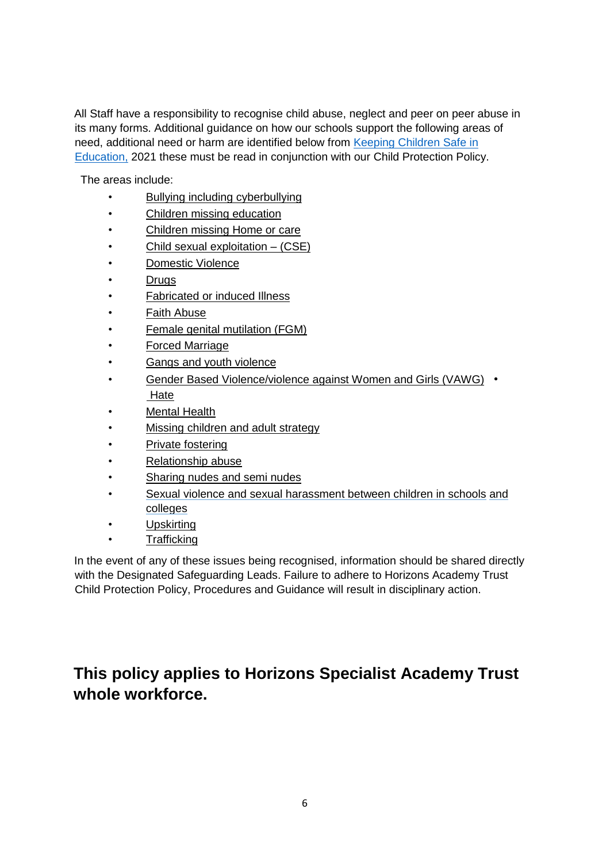All Staff have a responsibility to recognise child abuse, neglect and peer on peer abuse in its many forms. Additional guidance on how our schools support the following areas of need, additional need or harm are identified below from [Keeping Children Safe in](https://www.gov.uk/government/publications/keeping-children-safe-in-education--2) [Ed](https://www.gov.uk/government/publications/keeping-children-safe-in-education--2)ucation, 2021 these must be read in conjunction with our Child Protection Policy.

The areas include:

- [Bullying including cyberbullying](https://www.gov.uk/government/publications/preventing-and-tackling-bullying)
- [Children](https://www.gov.uk/government/publications/children-missing-education) [missing education](https://www.gov.uk/government/publications/children-missing-education)
- [Children missing Home or care](https://www.gov.uk/government/publications/children-who-run-away-or-go-missing-from-home-or-care)
- [Child sexual exploitation](https://www.gov.uk/government/publications/what-to-do-if-you-suspect-a-child-is-being-sexually-exploited) [–](https://www.gov.uk/government/publications/what-to-do-if-you-suspect-a-child-is-being-sexually-exploited) [\(CSE\)](https://www.gov.uk/government/publications/what-to-do-if-you-suspect-a-child-is-being-sexually-exploited)
- Domestic Violence
- **Drugs**
- **Fabricated or induced Illness**
- **Faith Abuse**
- **Female genital mutilation (FGM)**
- [Forced Marriage](https://www.gov.uk/guidance/forced-marriage)
- Gangs and youth violence
- [Gender Based Violence/violence against Women and Girls \(VAWG\)](https://www.gov.uk/government/policies/violence-against-women-and-girls) [•](https://www.gov.uk/government/policies/violence-against-women-and-girls) [Hate](http://educateagainsthate.com/)
- Mental Health
- [Missing children and adult strategy](https://www.gov.uk/government/publications/missing-children-and-adults-strategy)
- [Private fostering](https://www.gov.uk/government/publications/children-act-1989-private-fostering)
- [Relationship abuse](https://www.disrespectnobody.co.uk/relationship-abuse/what-is-relationship-abuse/)
- [Sharing nudes and semi nudes](https://www.gov.uk/government/publications/sharing-nudes-and-semi-nudes-advice-for-education-settings-working-with-children-and-young-people)
- [Sexual violence and sexual harassment](https://www.gov.uk/government/publications/sexual-violence-and-sexual-harassment-between-children-in-schools-and-colleges) between children in schools and colleges
- Upskirting
- **Trafficking**

In the event of any of these issues being recognised, information should be shared directly with the Designated Safeguarding Leads. Failure to adhere to Horizons Academy Trust Child Protection Policy, Procedures and Guidance will result in disciplinary action.

## **This policy applies to Horizons Specialist Academy Trust whole workforce.**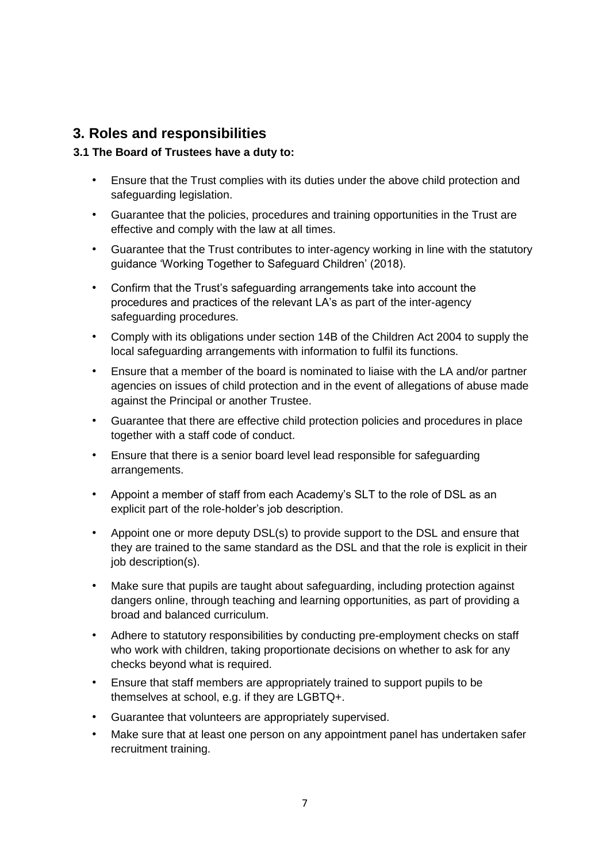## **3. Roles and responsibilities**

#### **3.1 The Board of Trustees have a duty to:**

- Ensure that the Trust complies with its duties under the above child protection and safeguarding legislation.
- Guarantee that the policies, procedures and training opportunities in the Trust are effective and comply with the law at all times.
- Guarantee that the Trust contributes to inter-agency working in line with the statutory guidance 'Working Together to Safeguard Children' (2018).
- Confirm that the Trust's safeguarding arrangements take into account the procedures and practices of the relevant LA's as part of the inter-agency safeguarding procedures.
- Comply with its obligations under section 14B of the Children Act 2004 to supply the local safeguarding arrangements with information to fulfil its functions.
- Ensure that a member of the board is nominated to liaise with the LA and/or partner agencies on issues of child protection and in the event of allegations of abuse made against the Principal or another Trustee.
- Guarantee that there are effective child protection policies and procedures in place together with a staff code of conduct.
- Ensure that there is a senior board level lead responsible for safeguarding arrangements.
- Appoint a member of staff from each Academy's SLT to the role of DSL as an explicit part of the role-holder's job description.
- Appoint one or more deputy DSL(s) to provide support to the DSL and ensure that they are trained to the same standard as the DSL and that the role is explicit in their job description(s).
- Make sure that pupils are taught about safeguarding, including protection against dangers online, through teaching and learning opportunities, as part of providing a broad and balanced curriculum.
- Adhere to statutory responsibilities by conducting pre-employment checks on staff who work with children, taking proportionate decisions on whether to ask for any checks beyond what is required.
- Ensure that staff members are appropriately trained to support pupils to be themselves at school, e.g. if they are LGBTQ+.
- Guarantee that volunteers are appropriately supervised.
- Make sure that at least one person on any appointment panel has undertaken safer recruitment training.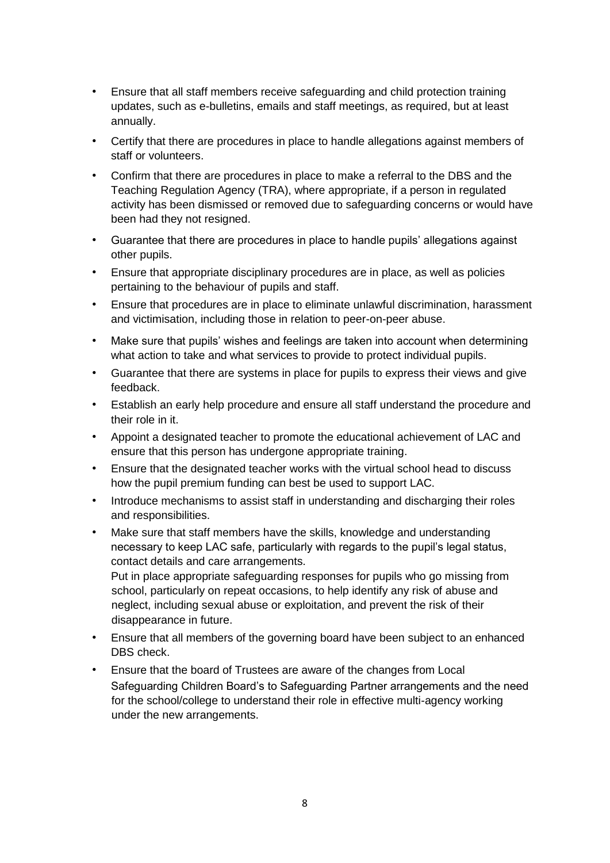- Ensure that all staff members receive safeguarding and child protection training updates, such as e-bulletins, emails and staff meetings, as required, but at least annually.
- Certify that there are procedures in place to handle allegations against members of staff or volunteers.
- Confirm that there are procedures in place to make a referral to the DBS and the Teaching Regulation Agency (TRA), where appropriate, if a person in regulated activity has been dismissed or removed due to safeguarding concerns or would have been had they not resigned.
- Guarantee that there are procedures in place to handle pupils' allegations against other pupils.
- Ensure that appropriate disciplinary procedures are in place, as well as policies pertaining to the behaviour of pupils and staff.
- Ensure that procedures are in place to eliminate unlawful discrimination, harassment and victimisation, including those in relation to peer-on-peer abuse.
- Make sure that pupils' wishes and feelings are taken into account when determining what action to take and what services to provide to protect individual pupils.
- Guarantee that there are systems in place for pupils to express their views and give feedback.
- Establish an early help procedure and ensure all staff understand the procedure and their role in it.
- Appoint a designated teacher to promote the educational achievement of LAC and ensure that this person has undergone appropriate training.
- Ensure that the designated teacher works with the virtual school head to discuss how the pupil premium funding can best be used to support LAC.
- Introduce mechanisms to assist staff in understanding and discharging their roles and responsibilities.
- Make sure that staff members have the skills, knowledge and understanding necessary to keep LAC safe, particularly with regards to the pupil's legal status, contact details and care arrangements. Put in place appropriate safeguarding responses for pupils who go missing from

school, particularly on repeat occasions, to help identify any risk of abuse and neglect, including sexual abuse or exploitation, and prevent the risk of their disappearance in future.

- Ensure that all members of the governing board have been subject to an enhanced DBS check.
- Ensure that the board of Trustees are aware of the changes from Local Safeguarding Children Board's to Safeguarding Partner arrangements and the need for the school/college to understand their role in effective multi-agency working under the new arrangements.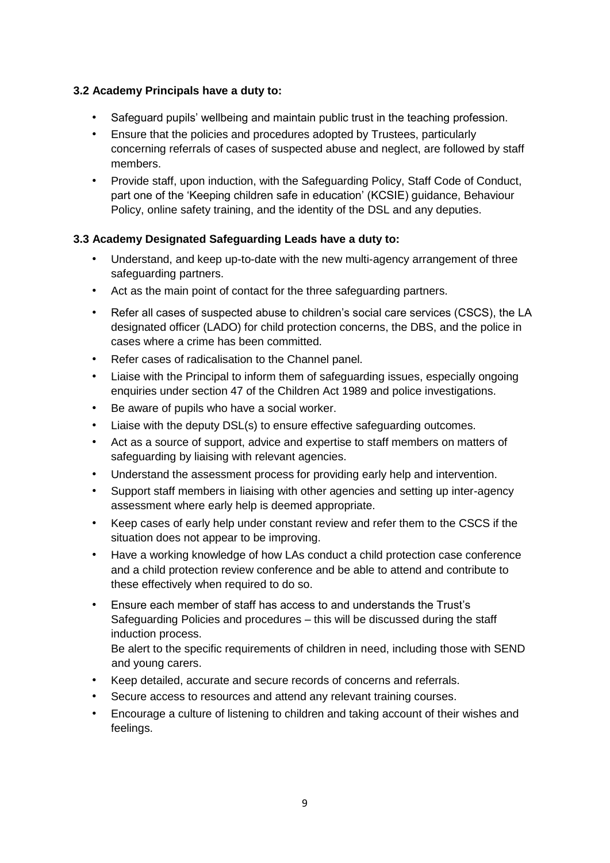#### **3.2 Academy Principals have a duty to:**

- Safeguard pupils' wellbeing and maintain public trust in the teaching profession.
- Ensure that the policies and procedures adopted by Trustees, particularly concerning referrals of cases of suspected abuse and neglect, are followed by staff members.
- Provide staff, upon induction, with the Safeguarding Policy, Staff Code of Conduct, part one of the 'Keeping children safe in education' (KCSIE) guidance, Behaviour Policy, online safety training, and the identity of the DSL and any deputies.

#### **3.3 Academy Designated Safeguarding Leads have a duty to:**

- Understand, and keep up-to-date with the new multi-agency arrangement of three safeguarding partners.
- Act as the main point of contact for the three safeguarding partners.
- Refer all cases of suspected abuse to children's social care services (CSCS), the LA designated officer (LADO) for child protection concerns, the DBS, and the police in cases where a crime has been committed.
- Refer cases of radicalisation to the Channel panel.
- Liaise with the Principal to inform them of safeguarding issues, especially ongoing enquiries under section 47 of the Children Act 1989 and police investigations.
- Be aware of pupils who have a social worker.
- Liaise with the deputy DSL(s) to ensure effective safeguarding outcomes.
- Act as a source of support, advice and expertise to staff members on matters of safeguarding by liaising with relevant agencies.
- Understand the assessment process for providing early help and intervention.
- Support staff members in liaising with other agencies and setting up inter-agency assessment where early help is deemed appropriate.
- Keep cases of early help under constant review and refer them to the CSCS if the situation does not appear to be improving.
- Have a working knowledge of how LAs conduct a child protection case conference and a child protection review conference and be able to attend and contribute to these effectively when required to do so.
- Ensure each member of staff has access to and understands the Trust's Safeguarding Policies and procedures – this will be discussed during the staff induction process.

Be alert to the specific requirements of children in need, including those with SEND and young carers.

- Keep detailed, accurate and secure records of concerns and referrals.
- Secure access to resources and attend any relevant training courses.
- Encourage a culture of listening to children and taking account of their wishes and feelings.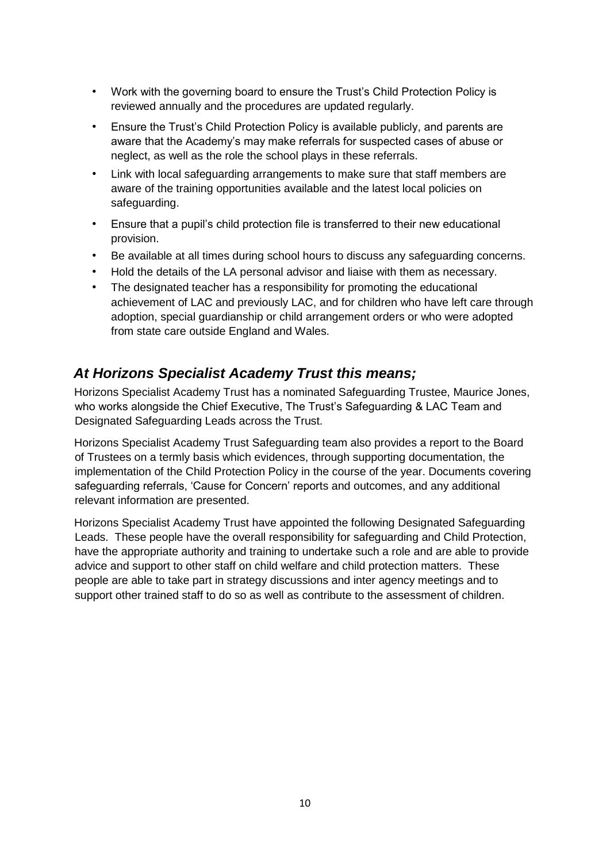- Work with the governing board to ensure the Trust's Child Protection Policy is reviewed annually and the procedures are updated regularly.
- Ensure the Trust's Child Protection Policy is available publicly, and parents are aware that the Academy's may make referrals for suspected cases of abuse or neglect, as well as the role the school plays in these referrals.
- Link with local safeguarding arrangements to make sure that staff members are aware of the training opportunities available and the latest local policies on safeguarding.
- Ensure that a pupil's child protection file is transferred to their new educational provision.
- Be available at all times during school hours to discuss any safeguarding concerns.
- Hold the details of the LA personal advisor and liaise with them as necessary.
- The designated teacher has a responsibility for promoting the educational achievement of LAC and previously LAC, and for children who have left care through adoption, special guardianship or child arrangement orders or who were adopted from state care outside England and Wales.

## *At Horizons Specialist Academy Trust this means;*

Horizons Specialist Academy Trust has a nominated Safeguarding Trustee, Maurice Jones, who works alongside the Chief Executive, The Trust's Safeguarding & LAC Team and Designated Safeguarding Leads across the Trust.

Horizons Specialist Academy Trust Safeguarding team also provides a report to the Board of Trustees on a termly basis which evidences, through supporting documentation, the implementation of the Child Protection Policy in the course of the year. Documents covering safeguarding referrals, 'Cause for Concern' reports and outcomes, and any additional relevant information are presented.

Horizons Specialist Academy Trust have appointed the following Designated Safeguarding Leads. These people have the overall responsibility for safeguarding and Child Protection, have the appropriate authority and training to undertake such a role and are able to provide advice and support to other staff on child welfare and child protection matters. These people are able to take part in strategy discussions and inter agency meetings and to support other trained staff to do so as well as contribute to the assessment of children.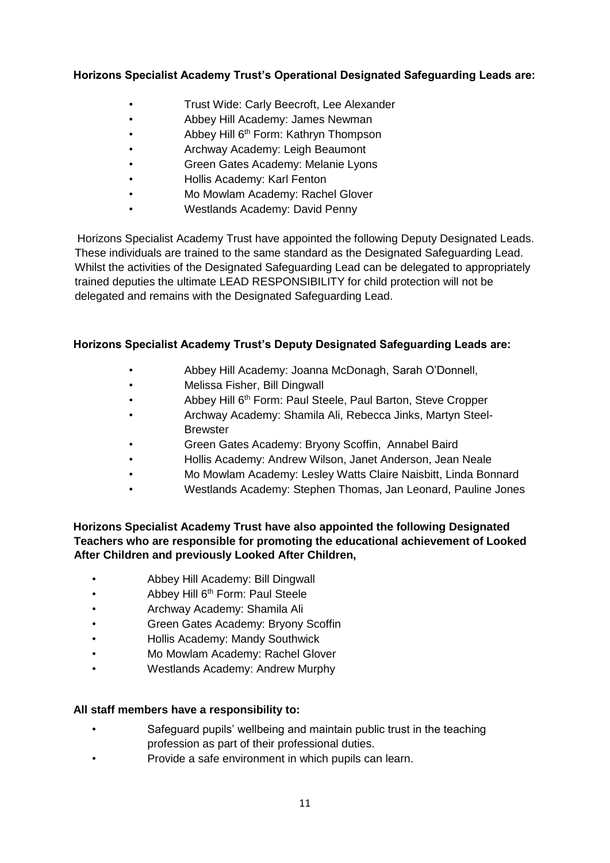#### **Horizons Specialist Academy Trust's Operational Designated Safeguarding Leads are:**

- Trust Wide: Carly Beecroft, Lee Alexander
- Abbey Hill Academy: James Newman
- **Abbey Hill 6<sup>th</sup> Form: Kathryn Thompson**
- Archway Academy: Leigh Beaumont
- Green Gates Academy: Melanie Lyons
- Hollis Academy: Karl Fenton
- Mo Mowlam Academy: Rachel Glover
- Westlands Academy: David Penny

Horizons Specialist Academy Trust have appointed the following Deputy Designated Leads. These individuals are trained to the same standard as the Designated Safeguarding Lead. Whilst the activities of the Designated Safeguarding Lead can be delegated to appropriately trained deputies the ultimate LEAD RESPONSIBILITY for child protection will not be delegated and remains with the Designated Safeguarding Lead.

#### **Horizons Specialist Academy Trust's Deputy Designated Safeguarding Leads are:**

- Abbey Hill Academy: Joanna McDonagh, Sarah O'Donnell,
- Melissa Fisher, Bill Dingwall
- Abbey Hill 6<sup>th</sup> Form: Paul Steele, Paul Barton, Steve Cropper
- Archway Academy: Shamila Ali, Rebecca Jinks, Martyn Steel-**Brewster**
- Green Gates Academy: Bryony Scoffin, Annabel Baird
- Hollis Academy: Andrew Wilson, Janet Anderson, Jean Neale
- Mo Mowlam Academy: Lesley Watts Claire Naisbitt, Linda Bonnard
- Westlands Academy: Stephen Thomas, Jan Leonard, Pauline Jones

#### **Horizons Specialist Academy Trust have also appointed the following Designated Teachers who are responsible for promoting the educational achievement of Looked After Children and previously Looked After Children,**

- Abbey Hill Academy: Bill Dingwall
- **Abbey Hill 6<sup>th</sup> Form: Paul Steele**
- Archway Academy: Shamila Ali
- Green Gates Academy: Bryony Scoffin
- Hollis Academy: Mandy Southwick
- Mo Mowlam Academy: Rachel Glover
- Westlands Academy: Andrew Murphy

#### **All staff members have a responsibility to:**

- Safeguard pupils' wellbeing and maintain public trust in the teaching profession as part of their professional duties.
- Provide a safe environment in which pupils can learn.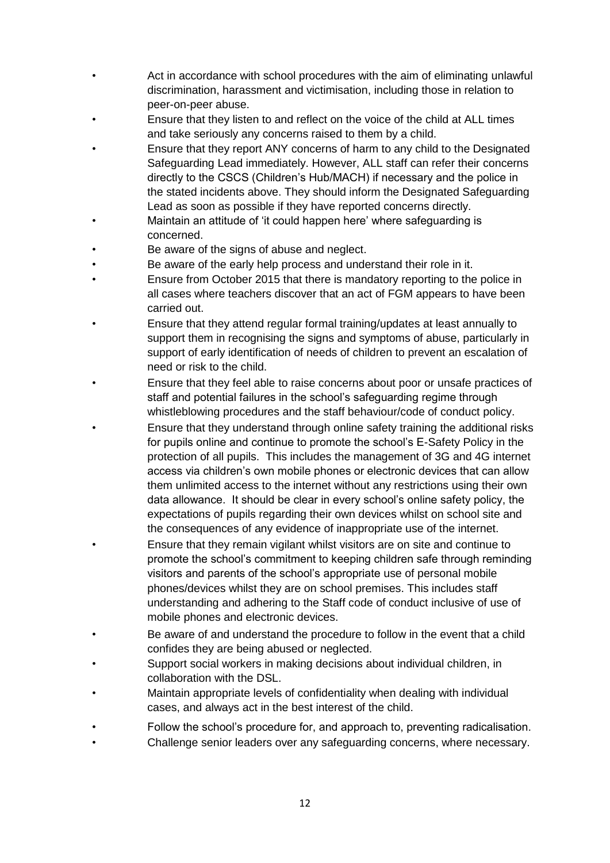- Act in accordance with school procedures with the aim of eliminating unlawful discrimination, harassment and victimisation, including those in relation to peer-on-peer abuse.
- Ensure that they listen to and reflect on the voice of the child at ALL times and take seriously any concerns raised to them by a child.
- Ensure that they report ANY concerns of harm to any child to the Designated Safeguarding Lead immediately. However, ALL staff can refer their concerns directly to the CSCS (Children's Hub/MACH) if necessary and the police in the stated incidents above. They should inform the Designated Safeguarding Lead as soon as possible if they have reported concerns directly.
- Maintain an attitude of 'it could happen here' where safeguarding is concerned.
- Be aware of the signs of abuse and neglect.
- Be aware of the early help process and understand their role in it.
- Ensure from October 2015 that there is mandatory reporting to the police in all cases where teachers discover that an act of FGM appears to have been carried out.
- Ensure that they attend regular formal training/updates at least annually to support them in recognising the signs and symptoms of abuse, particularly in support of early identification of needs of children to prevent an escalation of need or risk to the child.
- Ensure that they feel able to raise concerns about poor or unsafe practices of staff and potential failures in the school's safeguarding regime through whistleblowing procedures and the staff behaviour/code of conduct policy.
- Ensure that they understand through online safety training the additional risks for pupils online and continue to promote the school's E-Safety Policy in the protection of all pupils. This includes the management of 3G and 4G internet access via children's own mobile phones or electronic devices that can allow them unlimited access to the internet without any restrictions using their own data allowance. It should be clear in every school's online safety policy, the expectations of pupils regarding their own devices whilst on school site and the consequences of any evidence of inappropriate use of the internet.
- Ensure that they remain vigilant whilst visitors are on site and continue to promote the school's commitment to keeping children safe through reminding visitors and parents of the school's appropriate use of personal mobile phones/devices whilst they are on school premises. This includes staff understanding and adhering to the Staff code of conduct inclusive of use of mobile phones and electronic devices.
- Be aware of and understand the procedure to follow in the event that a child confides they are being abused or neglected.
- Support social workers in making decisions about individual children, in collaboration with the DSL.
- Maintain appropriate levels of confidentiality when dealing with individual cases, and always act in the best interest of the child.
- Follow the school's procedure for, and approach to, preventing radicalisation.
- Challenge senior leaders over any safeguarding concerns, where necessary.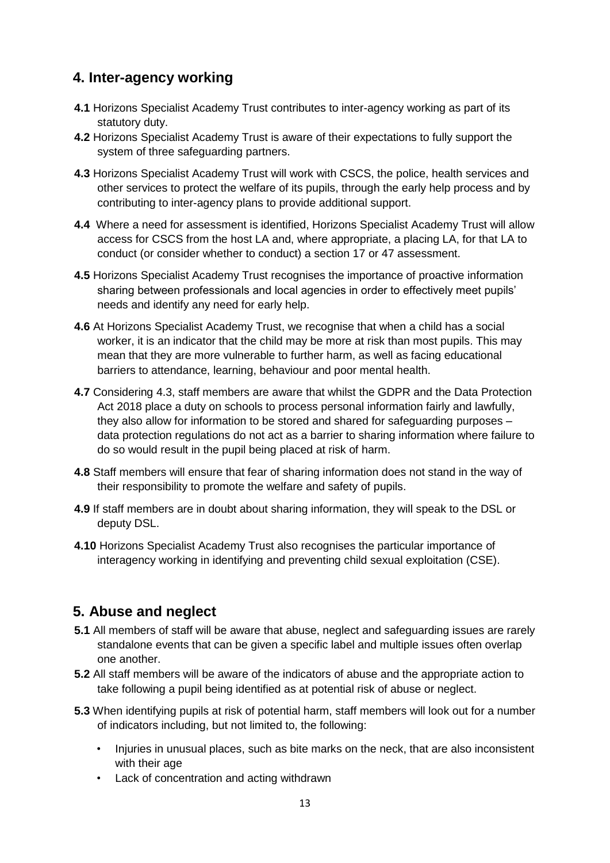## **4. Inter-agency working**

- **4.1** Horizons Specialist Academy Trust contributes to inter-agency working as part of its statutory duty.
- **4.2** Horizons Specialist Academy Trust is aware of their expectations to fully support the system of three safeguarding partners.
- **4.3** Horizons Specialist Academy Trust will work with CSCS, the police, health services and other services to protect the welfare of its pupils, through the early help process and by contributing to inter-agency plans to provide additional support.
- **4.4** Where a need for assessment is identified, Horizons Specialist Academy Trust will allow access for CSCS from the host LA and, where appropriate, a placing LA, for that LA to conduct (or consider whether to conduct) a section 17 or 47 assessment.
- **4.5** Horizons Specialist Academy Trust recognises the importance of proactive information sharing between professionals and local agencies in order to effectively meet pupils' needs and identify any need for early help.
- **4.6** At Horizons Specialist Academy Trust, we recognise that when a child has a social worker, it is an indicator that the child may be more at risk than most pupils. This may mean that they are more vulnerable to further harm, as well as facing educational barriers to attendance, learning, behaviour and poor mental health.
- **4.7** Considering 4.3, staff members are aware that whilst the GDPR and the Data Protection Act 2018 place a duty on schools to process personal information fairly and lawfully, they also allow for information to be stored and shared for safeguarding purposes – data protection regulations do not act as a barrier to sharing information where failure to do so would result in the pupil being placed at risk of harm.
- **4.8** Staff members will ensure that fear of sharing information does not stand in the way of their responsibility to promote the welfare and safety of pupils.
- **4.9** If staff members are in doubt about sharing information, they will speak to the DSL or deputy DSL.
- **4.10** Horizons Specialist Academy Trust also recognises the particular importance of interagency working in identifying and preventing child sexual exploitation (CSE).

## **5. Abuse and neglect**

- **5.1** All members of staff will be aware that abuse, neglect and safeguarding issues are rarely standalone events that can be given a specific label and multiple issues often overlap one another.
- **5.2** All staff members will be aware of the indicators of abuse and the appropriate action to take following a pupil being identified as at potential risk of abuse or neglect.
- **5.3** When identifying pupils at risk of potential harm, staff members will look out for a number of indicators including, but not limited to, the following:
	- Injuries in unusual places, such as bite marks on the neck, that are also inconsistent with their age
	- Lack of concentration and acting withdrawn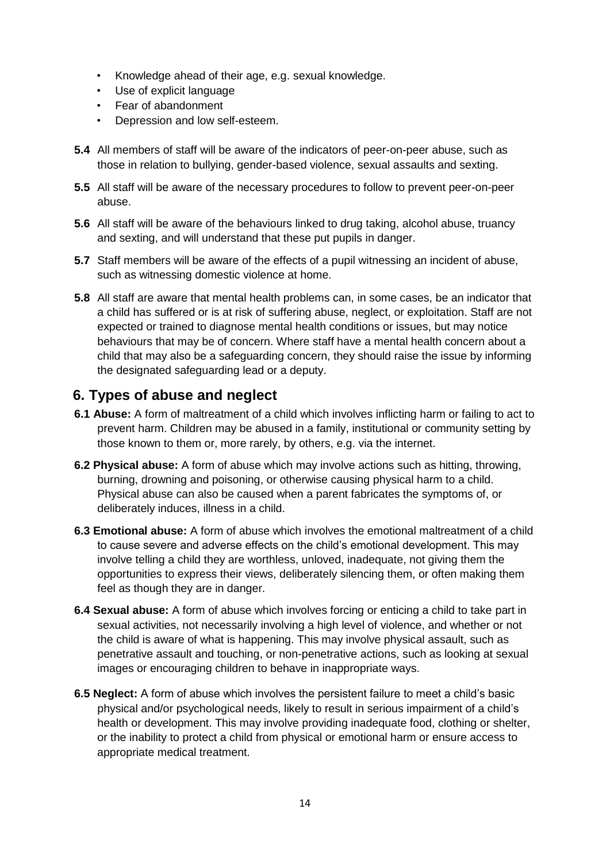- Knowledge ahead of their age, e.g. sexual knowledge.
- Use of explicit language
- Fear of abandonment
- Depression and low self-esteem.
- **5.4** All members of staff will be aware of the indicators of peer-on-peer abuse, such as those in relation to bullying, gender-based violence, sexual assaults and sexting.
- **5.5** All staff will be aware of the necessary procedures to follow to prevent peer-on-peer abuse.
- **5.6** All staff will be aware of the behaviours linked to drug taking, alcohol abuse, truancy and sexting, and will understand that these put pupils in danger.
- **5.7** Staff members will be aware of the effects of a pupil witnessing an incident of abuse, such as witnessing domestic violence at home.
- **5.8** All staff are aware that mental health problems can, in some cases, be an indicator that a child has suffered or is at risk of suffering abuse, neglect, or exploitation. Staff are not expected or trained to diagnose mental health conditions or issues, but may notice behaviours that may be of concern. Where staff have a mental health concern about a child that may also be a safeguarding concern, they should raise the issue by informing the designated safeguarding lead or a deputy.

## **6. Types of abuse and neglect**

- **6.1 Abuse:** A form of maltreatment of a child which involves inflicting harm or failing to act to prevent harm. Children may be abused in a family, institutional or community setting by those known to them or, more rarely, by others, e.g. via the internet.
- **6.2 Physical abuse:** A form of abuse which may involve actions such as hitting, throwing, burning, drowning and poisoning, or otherwise causing physical harm to a child. Physical abuse can also be caused when a parent fabricates the symptoms of, or deliberately induces, illness in a child.
- **6.3 Emotional abuse:** A form of abuse which involves the emotional maltreatment of a child to cause severe and adverse effects on the child's emotional development. This may involve telling a child they are worthless, unloved, inadequate, not giving them the opportunities to express their views, deliberately silencing them, or often making them feel as though they are in danger.
- **6.4 Sexual abuse:** A form of abuse which involves forcing or enticing a child to take part in sexual activities, not necessarily involving a high level of violence, and whether or not the child is aware of what is happening. This may involve physical assault, such as penetrative assault and touching, or non-penetrative actions, such as looking at sexual images or encouraging children to behave in inappropriate ways.
- **6.5 Neglect:** A form of abuse which involves the persistent failure to meet a child's basic physical and/or psychological needs, likely to result in serious impairment of a child's health or development. This may involve providing inadequate food, clothing or shelter, or the inability to protect a child from physical or emotional harm or ensure access to appropriate medical treatment.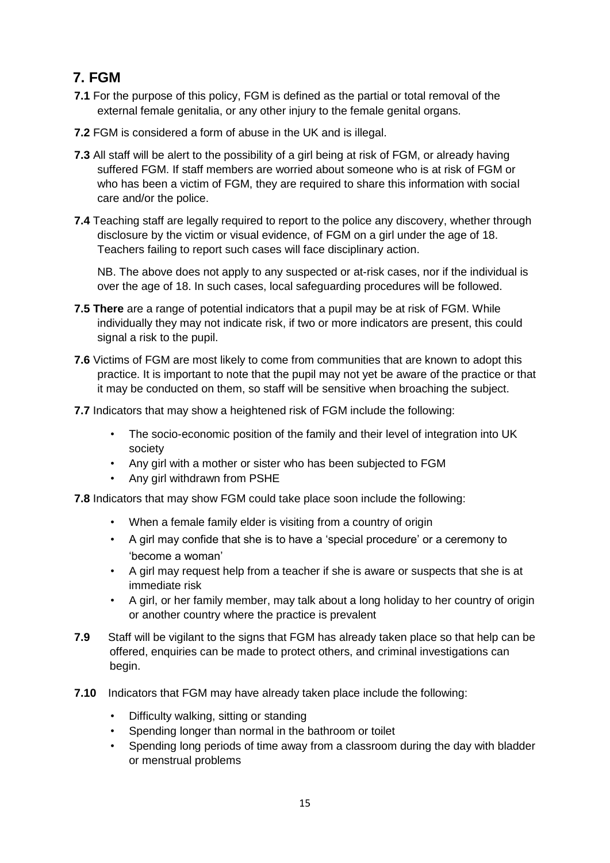## **7. FGM**

- **7.1** For the purpose of this policy, FGM is defined as the partial or total removal of the external female genitalia, or any other injury to the female genital organs.
- **7.2** FGM is considered a form of abuse in the UK and is illegal.
- **7.3** All staff will be alert to the possibility of a girl being at risk of FGM, or already having suffered FGM. If staff members are worried about someone who is at risk of FGM or who has been a victim of FGM, they are required to share this information with social care and/or the police.
- **7.4** Teaching staff are legally required to report to the police any discovery, whether through disclosure by the victim or visual evidence, of FGM on a girl under the age of 18. Teachers failing to report such cases will face disciplinary action.

 NB. The above does not apply to any suspected or at-risk cases, nor if the individual is over the age of 18. In such cases, local safeguarding procedures will be followed.

- **7.5 There** are a range of potential indicators that a pupil may be at risk of FGM. While individually they may not indicate risk, if two or more indicators are present, this could signal a risk to the pupil.
- **7.6** Victims of FGM are most likely to come from communities that are known to adopt this practice. It is important to note that the pupil may not yet be aware of the practice or that it may be conducted on them, so staff will be sensitive when broaching the subject.
- **7.7** Indicators that may show a heightened risk of FGM include the following:
	- The socio-economic position of the family and their level of integration into UK society
	- Any girl with a mother or sister who has been subjected to FGM
	- Any girl withdrawn from PSHE

**7.8** Indicators that may show FGM could take place soon include the following:

- When a female family elder is visiting from a country of origin
- A girl may confide that she is to have a 'special procedure' or a ceremony to 'become a woman'
- A girl may request help from a teacher if she is aware or suspects that she is at immediate risk
- A girl, or her family member, may talk about a long holiday to her country of origin or another country where the practice is prevalent
- **7.9** Staff will be vigilant to the signs that FGM has already taken place so that help can be offered, enquiries can be made to protect others, and criminal investigations can begin.
- **7.10** Indicators that FGM may have already taken place include the following:
	- Difficulty walking, sitting or standing
	- Spending longer than normal in the bathroom or toilet
	- Spending long periods of time away from a classroom during the day with bladder or menstrual problems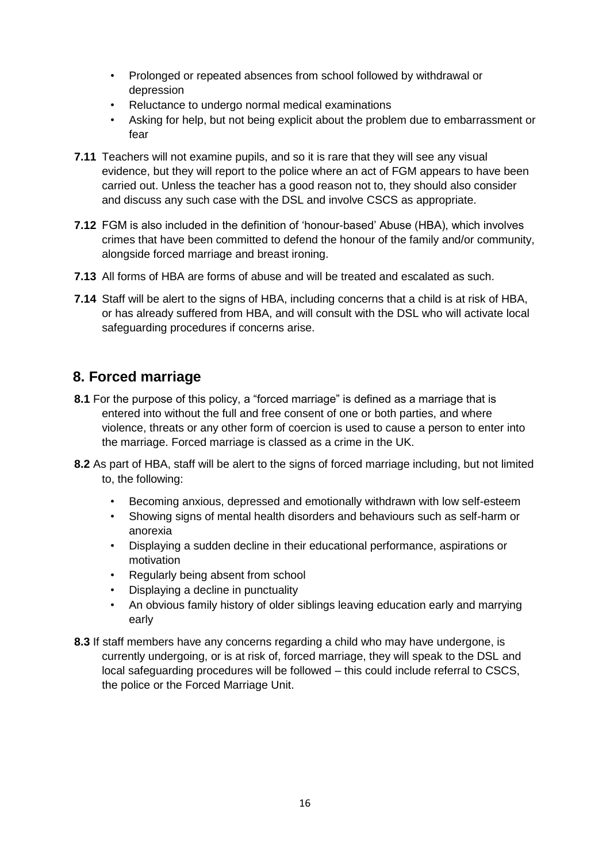- Prolonged or repeated absences from school followed by withdrawal or depression
- Reluctance to undergo normal medical examinations
- Asking for help, but not being explicit about the problem due to embarrassment or fear
- **7.11** Teachers will not examine pupils, and so it is rare that they will see any visual evidence, but they will report to the police where an act of FGM appears to have been carried out. Unless the teacher has a good reason not to, they should also consider and discuss any such case with the DSL and involve CSCS as appropriate.
- **7.12** FGM is also included in the definition of 'honour-based' Abuse (HBA), which involves crimes that have been committed to defend the honour of the family and/or community, alongside forced marriage and breast ironing.
- **7.13** All forms of HBA are forms of abuse and will be treated and escalated as such.
- **7.14** Staff will be alert to the signs of HBA, including concerns that a child is at risk of HBA. or has already suffered from HBA, and will consult with the DSL who will activate local safeguarding procedures if concerns arise.

## **8. Forced marriage**

- **8.1** For the purpose of this policy, a "forced marriage" is defined as a marriage that is entered into without the full and free consent of one or both parties, and where violence, threats or any other form of coercion is used to cause a person to enter into the marriage. Forced marriage is classed as a crime in the UK.
- **8.2** As part of HBA, staff will be alert to the signs of forced marriage including, but not limited to, the following:
	- Becoming anxious, depressed and emotionally withdrawn with low self-esteem
	- Showing signs of mental health disorders and behaviours such as self-harm or anorexia
	- Displaying a sudden decline in their educational performance, aspirations or motivation
	- Regularly being absent from school
	- Displaying a decline in punctuality
	- An obvious family history of older siblings leaving education early and marrying early
- **8.3** If staff members have any concerns regarding a child who may have undergone, is currently undergoing, or is at risk of, forced marriage, they will speak to the DSL and local safeguarding procedures will be followed – this could include referral to CSCS, the police or the Forced Marriage Unit.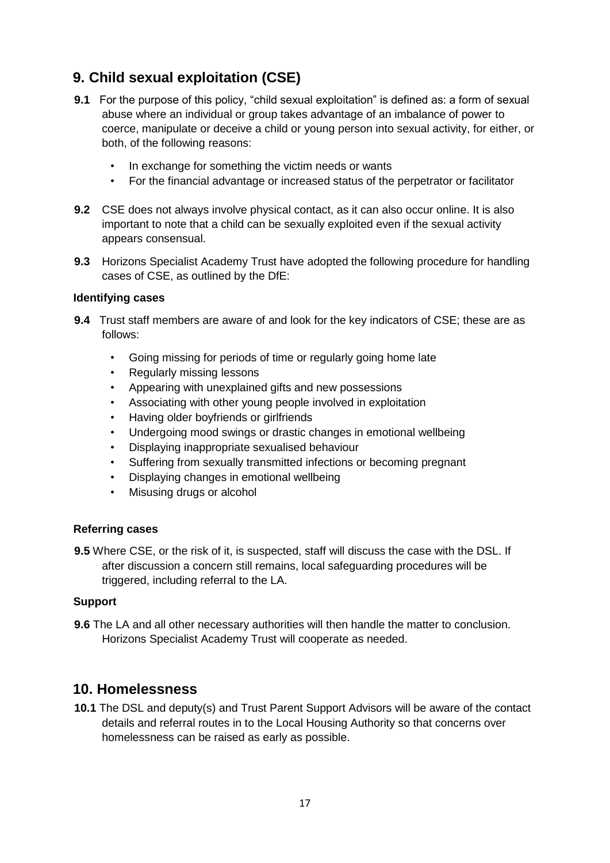## **9. Child sexual exploitation (CSE)**

- **9.1** For the purpose of this policy, "child sexual exploitation" is defined as: a form of sexual abuse where an individual or group takes advantage of an imbalance of power to coerce, manipulate or deceive a child or young person into sexual activity, for either, or both, of the following reasons:
	- In exchange for something the victim needs or wants
	- For the financial advantage or increased status of the perpetrator or facilitator
- **9.2** CSE does not always involve physical contact, as it can also occur online. It is also important to note that a child can be sexually exploited even if the sexual activity appears consensual.
- **9.3** Horizons Specialist Academy Trust have adopted the following procedure for handling cases of CSE, as outlined by the DfE:

#### **Identifying cases**

- **9.4** Trust staff members are aware of and look for the key indicators of CSE; these are as follows:
	- Going missing for periods of time or regularly going home late
	- Regularly missing lessons
	- Appearing with unexplained gifts and new possessions
	- Associating with other young people involved in exploitation
	- Having older boyfriends or girlfriends
	- Undergoing mood swings or drastic changes in emotional wellbeing
	- Displaying inappropriate sexualised behaviour
	- Suffering from sexually transmitted infections or becoming pregnant
	- Displaying changes in emotional wellbeing
	- Misusing drugs or alcohol

#### **Referring cases**

**9.5** Where CSE, or the risk of it, is suspected, staff will discuss the case with the DSL. If after discussion a concern still remains, local safeguarding procedures will be triggered, including referral to the LA.

#### **Support**

**9.6** The LA and all other necessary authorities will then handle the matter to conclusion. Horizons Specialist Academy Trust will cooperate as needed.

#### **10. Homelessness**

**10.1** The DSL and deputy(s) and Trust Parent Support Advisors will be aware of the contact details and referral routes in to the Local Housing Authority so that concerns over homelessness can be raised as early as possible.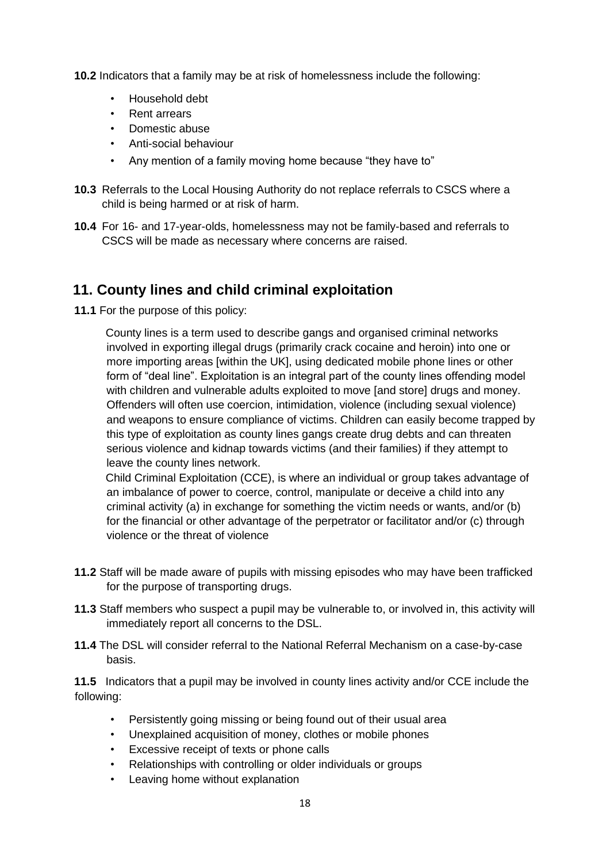**10.2** Indicators that a family may be at risk of homelessness include the following:

- Household debt
- Rent arrears
- Domestic abuse
- Anti-social behaviour
- Any mention of a family moving home because "they have to"
- **10.3** Referrals to the Local Housing Authority do not replace referrals to CSCS where a child is being harmed or at risk of harm.
- **10.4** For 16- and 17-year-olds, homelessness may not be family-based and referrals to CSCS will be made as necessary where concerns are raised.

## **11. County lines and child criminal exploitation**

**11.1** For the purpose of this policy:

County lines is a term used to describe gangs and organised criminal networks involved in exporting illegal drugs (primarily crack cocaine and heroin) into one or more importing areas [within the UK], using dedicated mobile phone lines or other form of "deal line". Exploitation is an integral part of the county lines offending model with children and vulnerable adults exploited to move [and store] drugs and money. Offenders will often use coercion, intimidation, violence (including sexual violence) and weapons to ensure compliance of victims. Children can easily become trapped by this type of exploitation as county lines gangs create drug debts and can threaten serious violence and kidnap towards victims (and their families) if they attempt to leave the county lines network.

 Child Criminal Exploitation (CCE), is where an individual or group takes advantage of an imbalance of power to coerce, control, manipulate or deceive a child into any criminal activity (a) in exchange for something the victim needs or wants, and/or (b) for the financial or other advantage of the perpetrator or facilitator and/or (c) through violence or the threat of violence

- **11.2** Staff will be made aware of pupils with missing episodes who may have been trafficked for the purpose of transporting drugs.
- **11.3** Staff members who suspect a pupil may be vulnerable to, or involved in, this activity will immediately report all concerns to the DSL.
- **11.4** The DSL will consider referral to the National Referral Mechanism on a case-by-case basis.

**11.5** Indicators that a pupil may be involved in county lines activity and/or CCE include the following:

- Persistently going missing or being found out of their usual area
- Unexplained acquisition of money, clothes or mobile phones
- Excessive receipt of texts or phone calls
- Relationships with controlling or older individuals or groups
- Leaving home without explanation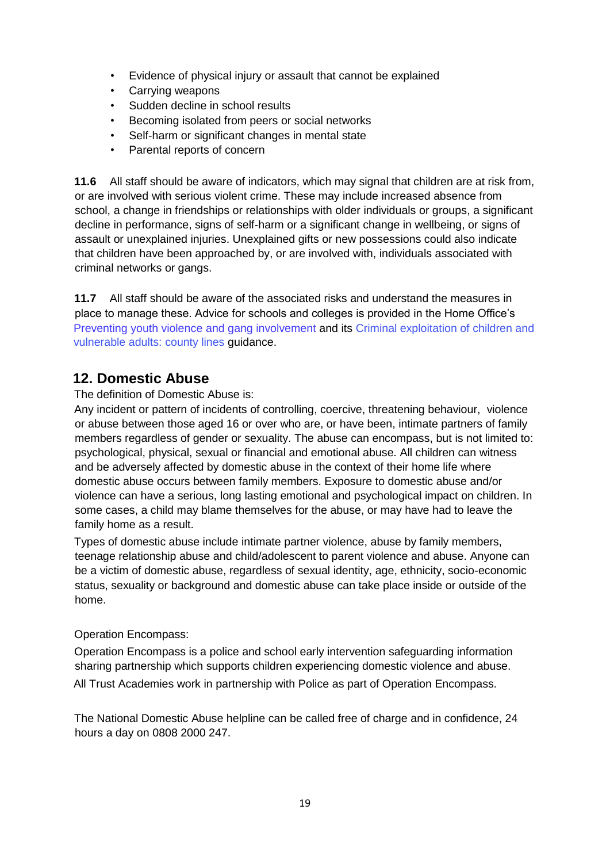- Evidence of physical injury or assault that cannot be explained
- Carrying weapons
- Sudden decline in school results
- Becoming isolated from peers or social networks
- Self-harm or significant changes in mental state
- Parental reports of concern

**11.6** All staff should be aware of indicators, which may signal that children are at risk from, or are involved with serious violent crime. These may include increased absence from school, a change in friendships or relationships with older individuals or groups, a significant decline in performance, signs of self-harm or a significant change in wellbeing, or signs of assault or unexplained injuries. Unexplained gifts or new possessions could also indicate that children have been approached by, or are involved with, individuals associated with criminal networks or gangs.

**11.7** All staff should be aware of the associated risks and understand the measures in place to manage these. Advice for schools and colleges is provided in the Home Office's Preventing youth violence and gang involvement and its Criminal exploitation of children and vulnerable adults: county lines guidance.

## **12. Domestic Abuse**

The definition of Domestic Abuse is:

Any incident or pattern of incidents of controlling, coercive, threatening behaviour, violence or abuse between those aged 16 or over who are, or have been, intimate partners of family members regardless of gender or sexuality. The abuse can encompass, but is not limited to: psychological, physical, sexual or financial and emotional abuse. All children can witness and be adversely affected by domestic abuse in the context of their home life where domestic abuse occurs between family members. Exposure to domestic abuse and/or violence can have a serious, long lasting emotional and psychological impact on children. In some cases, a child may blame themselves for the abuse, or may have had to leave the family home as a result.

Types of domestic abuse include intimate partner violence, abuse by family members, teenage relationship abuse and child/adolescent to parent violence and abuse. Anyone can be a victim of domestic abuse, regardless of sexual identity, age, ethnicity, socio-economic status, sexuality or background and domestic abuse can take place inside or outside of the home.

#### Operation Encompass:

Operation Encompass is a police and school early intervention safeguarding information sharing partnership which supports children experiencing domestic violence and abuse. All Trust Academies work in partnership with Police as part of Operation Encompass.

The National Domestic Abuse helpline can be called free of charge and in confidence, 24 hours a day on 0808 2000 247.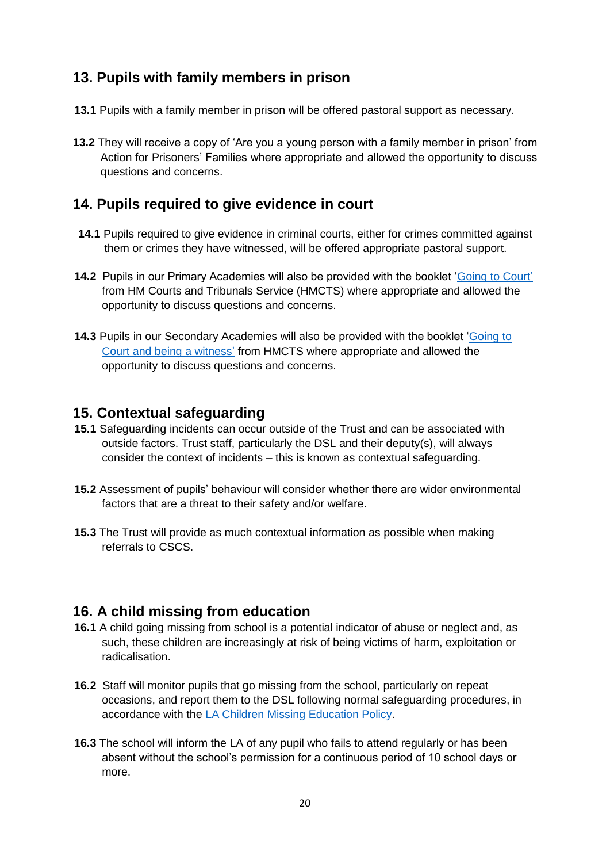## **13. Pupils with family members in prison**

- **13.1** Pupils with a family member in prison will be offered pastoral support as necessary.
- **13.2** They will receive a copy of 'Are you a young person with a family member in prison' from Action for Prisoners' Families where appropriate and allowed the opportunity to discuss questions and concerns.

## **14. Pupils required to give evidence in court**

- **14.1** Pupils required to give evidence in criminal courts, either for crimes committed against them or crimes they have witnessed, will be offered appropriate pastoral support.
- **14.2** Pupils in our Primary Academies will also be provided with the booklet ['Going to Court'](https://www.gov.uk/government/publications/young-witness-booklet-for-5-to-11-year-olds) from HM Courts and Tribunals Service (HMCTS) where appropriate and allowed the opportunity to discuss questions and concerns.
- **14.3** Pupils in our Secondary Academies will also be provided with the booklet ['Going to](https://www.gov.uk/government/publications/young-witness-booklet-for-12-to-17-year-olds) [Court and being a witness'](https://www.gov.uk/government/publications/young-witness-booklet-for-12-to-17-year-olds) [fr](https://www.gov.uk/government/publications/young-witness-booklet-for-12-to-17-year-olds)om HMCTS where appropriate and allowed the opportunity to discuss questions and concerns.

## **15. Contextual safeguarding**

- **15.1** Safeguarding incidents can occur outside of the Trust and can be associated with outside factors. Trust staff, particularly the DSL and their deputy(s), will always consider the context of incidents – this is known as contextual safeguarding.
- **15.2** Assessment of pupils' behaviour will consider whether there are wider environmental factors that are a threat to their safety and/or welfare.
- **15.3** The Trust will provide as much contextual information as possible when making referrals to CSCS.

## **16. A child missing from education**

- **16.1** A child going missing from school is a potential indicator of abuse or neglect and, as such, these children are increasingly at risk of being victims of harm, exploitation or radicalisation.
- **16.2** Staff will monitor pupils that go missing from the school, particularly on repeat occasions, and report them to the DSL following normal safeguarding procedures, in accordance with the [LA Children Missing Education Policy.](file://///HORIZONS.INTERNAL/HorizonsShared/StaffShared$/Horizons%20Trust/Safeguarding%20Policies%20and%20Information/CURRENT%20HSAT%20SAFEGUARDING%20POLICIES%20AND%20GUIDELINES/CHILDREN%20MISSING%20FROM%20EDUCATION,HOME,%20SCHOOL/LA%20CME%20POLICY.doc)
- **16.3** The school will inform the LA of any pupil who fails to attend regularly or has been absent without the school's permission for a continuous period of 10 school days or more.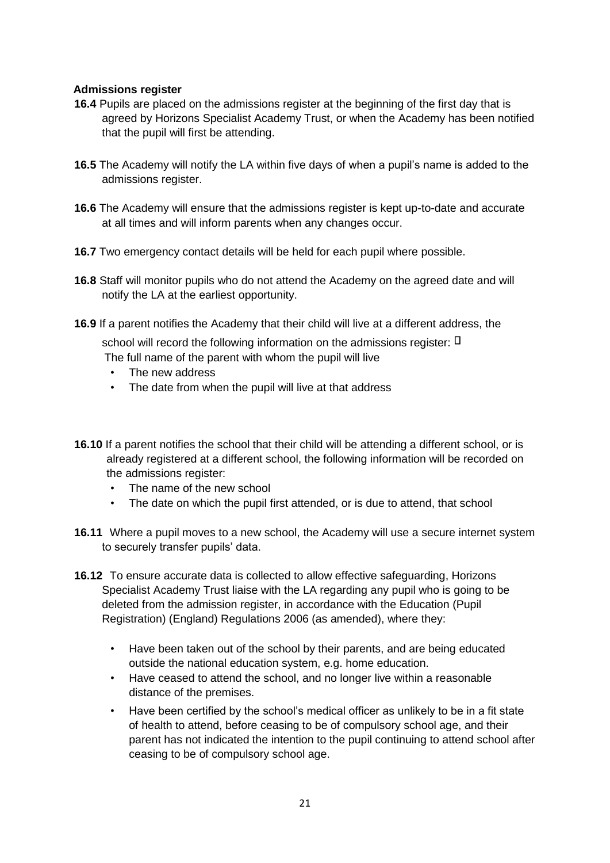#### **Admissions register**

- **16.4** Pupils are placed on the admissions register at the beginning of the first day that is agreed by Horizons Specialist Academy Trust, or when the Academy has been notified that the pupil will first be attending.
- **16.5** The Academy will notify the LA within five days of when a pupil's name is added to the admissions register.
- **16.6** The Academy will ensure that the admissions register is kept up-to-date and accurate at all times and will inform parents when any changes occur.
- **16.7** Two emergency contact details will be held for each pupil where possible.
- **16.8** Staff will monitor pupils who do not attend the Academy on the agreed date and will notify the LA at the earliest opportunity.
- **16.9** If a parent notifies the Academy that their child will live at a different address, the

school will record the following information on the admissions register:  $\Box$ 

- The full name of the parent with whom the pupil will live
- The new address
- The date from when the pupil will live at that address
- **16.10** If a parent notifies the school that their child will be attending a different school, or is already registered at a different school, the following information will be recorded on the admissions register:
	- The name of the new school
	- The date on which the pupil first attended, or is due to attend, that school
- **16.11** Where a pupil moves to a new school, the Academy will use a secure internet system to securely transfer pupils' data.
- **16.12** To ensure accurate data is collected to allow effective safeguarding, Horizons Specialist Academy Trust liaise with the LA regarding any pupil who is going to be deleted from the admission register, in accordance with the Education (Pupil Registration) (England) Regulations 2006 (as amended), where they:
	- Have been taken out of the school by their parents, and are being educated outside the national education system, e.g. home education.
	- Have ceased to attend the school, and no longer live within a reasonable distance of the premises.
	- Have been certified by the school's medical officer as unlikely to be in a fit state of health to attend, before ceasing to be of compulsory school age, and their parent has not indicated the intention to the pupil continuing to attend school after ceasing to be of compulsory school age.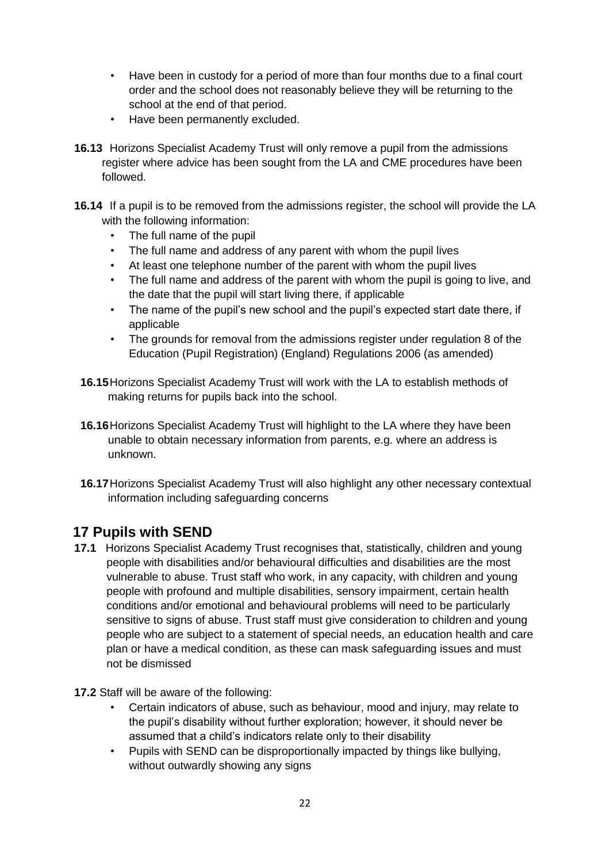- Have been in custody for a period of more than four months due to a final court order and the school does not reasonably believe they will be returning to the school at the end of that period.
- Have been permanently excluded.
- **16.13** Horizons Specialist Academy Trust will only remove a pupil from the admissions register where advice has been sought from the LA and CME procedures have been followed.
- **16.14** If a pupil is to be removed from the admissions register, the school will provide the LA with the following information:
	- The full name of the pupil
	- The full name and address of any parent with whom the pupil lives
	- At least one telephone number of the parent with whom the pupil lives
	- The full name and address of the parent with whom the pupil is going to live, and the date that the pupil will start living there, if applicable
	- The name of the pupil's new school and the pupil's expected start date there, if applicable
	- The grounds for removal from the admissions register under regulation 8 of the Education (Pupil Registration) (England) Regulations 2006 (as amended)
	- **16.15**Horizons Specialist Academy Trust will work with the LA to establish methods of making returns for pupils back into the school.
	- **16.16**Horizons Specialist Academy Trust will highlight to the LA where they have been unable to obtain necessary information from parents, e.g. where an address is unknown.
	- **16.17**Horizons Specialist Academy Trust will also highlight any other necessary contextual information including safeguarding concerns

## **17 Pupils with SEND**

- **17.1** Horizons Specialist Academy Trust recognises that, statistically, children and young people with disabilities and/or behavioural difficulties and disabilities are the most vulnerable to abuse. Trust staff who work, in any capacity, with children and young people with profound and multiple disabilities, sensory impairment, certain health conditions and/or emotional and behavioural problems will need to be particularly sensitive to signs of abuse. Trust staff must give consideration to children and young people who are subject to a statement of special needs, an education health and care plan or have a medical condition, as these can mask safeguarding issues and must not be dismissed
- **17.2** Staff will be aware of the following:
	- Certain indicators of abuse, such as behaviour, mood and injury, may relate to the pupil's disability without further exploration; however, it should never be assumed that a child's indicators relate only to their disability
	- Pupils with SEND can be disproportionally impacted by things like bullying, without outwardly showing any signs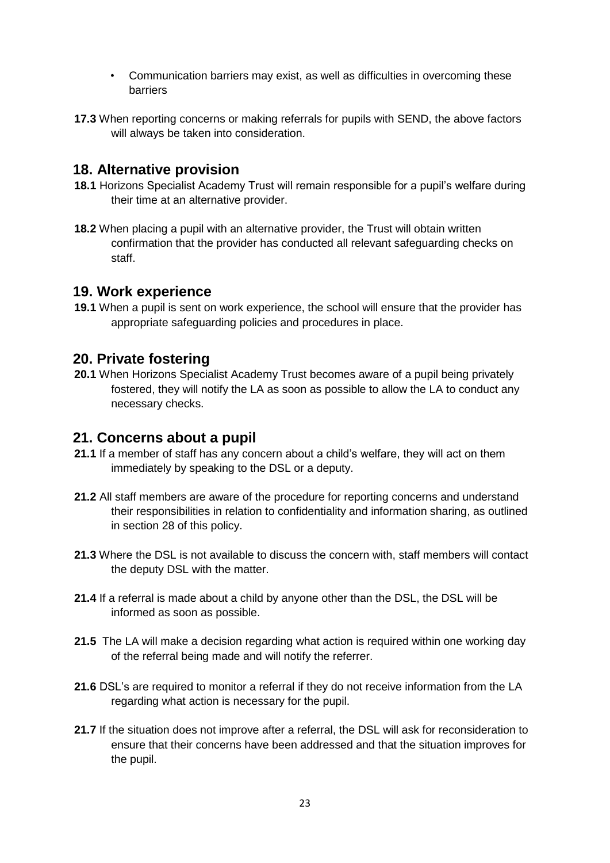- Communication barriers may exist, as well as difficulties in overcoming these barriers
- **17.3** When reporting concerns or making referrals for pupils with SEND, the above factors will always be taken into consideration.

### **18. Alternative provision**

- **18.1** Horizons Specialist Academy Trust will remain responsible for a pupil's welfare during their time at an alternative provider.
- **18.2** When placing a pupil with an alternative provider, the Trust will obtain written confirmation that the provider has conducted all relevant safeguarding checks on staff.

## **19. Work experience**

**19.1** When a pupil is sent on work experience, the school will ensure that the provider has appropriate safeguarding policies and procedures in place.

#### **20. Private fostering**

**20.1** When Horizons Specialist Academy Trust becomes aware of a pupil being privately fostered, they will notify the LA as soon as possible to allow the LA to conduct any necessary checks.

## **21. Concerns about a pupil**

- **21.1** If a member of staff has any concern about a child's welfare, they will act on them immediately by speaking to the DSL or a deputy.
- **21.2** All staff members are aware of the procedure for reporting concerns and understand their responsibilities in relation to confidentiality and information sharing, as outlined in section 28 of this policy.
- **21.3** Where the DSL is not available to discuss the concern with, staff members will contact the deputy DSL with the matter.
- **21.4** If a referral is made about a child by anyone other than the DSL, the DSL will be informed as soon as possible.
- **21.5** The LA will make a decision regarding what action is required within one working day of the referral being made and will notify the referrer.
- **21.6** DSL's are required to monitor a referral if they do not receive information from the LA regarding what action is necessary for the pupil.
- **21.7** If the situation does not improve after a referral, the DSL will ask for reconsideration to ensure that their concerns have been addressed and that the situation improves for the pupil.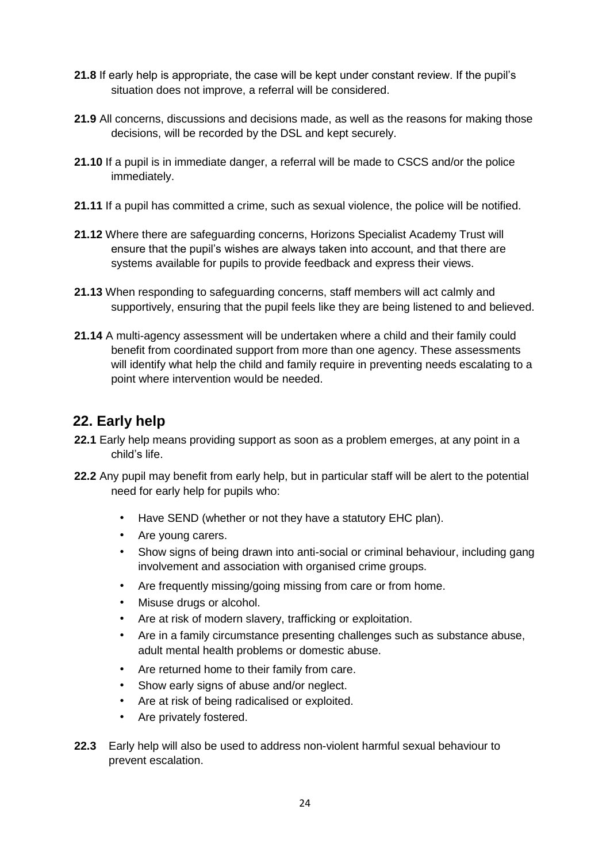- **21.8** If early help is appropriate, the case will be kept under constant review. If the pupil's situation does not improve, a referral will be considered.
- **21.9** All concerns, discussions and decisions made, as well as the reasons for making those decisions, will be recorded by the DSL and kept securely.
- **21.10** If a pupil is in immediate danger, a referral will be made to CSCS and/or the police immediately.
- **21.11** If a pupil has committed a crime, such as sexual violence, the police will be notified.
- **21.12** Where there are safeguarding concerns, Horizons Specialist Academy Trust will ensure that the pupil's wishes are always taken into account, and that there are systems available for pupils to provide feedback and express their views.
- **21.13** When responding to safeguarding concerns, staff members will act calmly and supportively, ensuring that the pupil feels like they are being listened to and believed.
- **21.14** A multi-agency assessment will be undertaken where a child and their family could benefit from coordinated support from more than one agency. These assessments will identify what help the child and family require in preventing needs escalating to a point where intervention would be needed.

## **22. Early help**

- **22.1** Early help means providing support as soon as a problem emerges, at any point in a child's life.
- **22.2** Any pupil may benefit from early help, but in particular staff will be alert to the potential need for early help for pupils who:
	- Have SEND (whether or not they have a statutory EHC plan).
	- Are young carers.
	- Show signs of being drawn into anti-social or criminal behaviour, including gang involvement and association with organised crime groups.
	- Are frequently missing/going missing from care or from home.
	- Misuse drugs or alcohol.
	- Are at risk of modern slavery, trafficking or exploitation.
	- Are in a family circumstance presenting challenges such as substance abuse, adult mental health problems or domestic abuse.
	- Are returned home to their family from care.
	- Show early signs of abuse and/or neglect.
	- Are at risk of being radicalised or exploited.
	- Are privately fostered.
- **22.3** Early help will also be used to address non-violent harmful sexual behaviour to prevent escalation.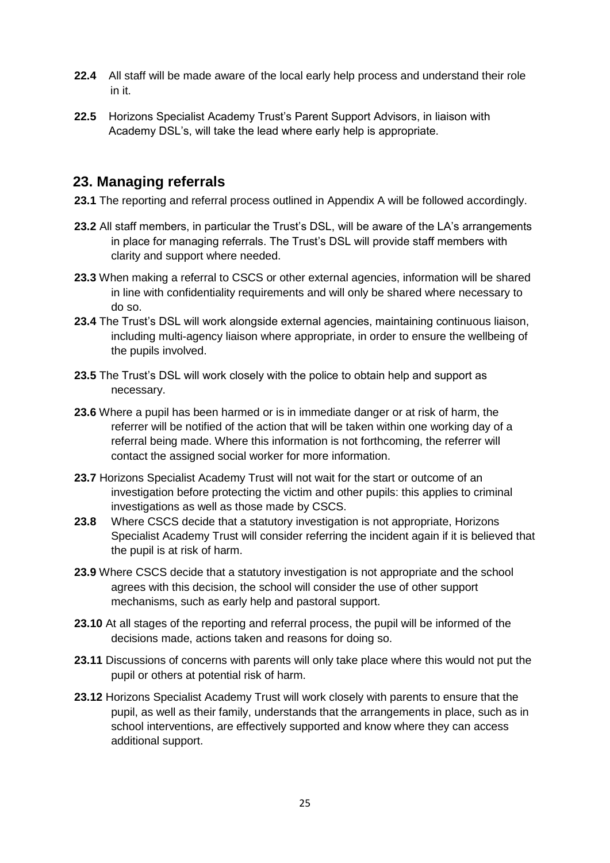- **22.4** All staff will be made aware of the local early help process and understand their role in it.
- **22.5** Horizons Specialist Academy Trust's Parent Support Advisors, in liaison with Academy DSL's, will take the lead where early help is appropriate.

## **23. Managing referrals**

- **23.1** The reporting and referral process outlined in Appendix A will be followed accordingly.
- **23.2** All staff members, in particular the Trust's DSL, will be aware of the LA's arrangements in place for managing referrals. The Trust's DSL will provide staff members with clarity and support where needed.
- **23.3** When making a referral to CSCS or other external agencies, information will be shared in line with confidentiality requirements and will only be shared where necessary to do so.
- **23.4** The Trust's DSL will work alongside external agencies, maintaining continuous liaison, including multi-agency liaison where appropriate, in order to ensure the wellbeing of the pupils involved.
- **23.5** The Trust's DSL will work closely with the police to obtain help and support as necessary.
- **23.6** Where a pupil has been harmed or is in immediate danger or at risk of harm, the referrer will be notified of the action that will be taken within one working day of a referral being made. Where this information is not forthcoming, the referrer will contact the assigned social worker for more information.
- **23.7** Horizons Specialist Academy Trust will not wait for the start or outcome of an investigation before protecting the victim and other pupils: this applies to criminal investigations as well as those made by CSCS.
- **23.8** Where CSCS decide that a statutory investigation is not appropriate, Horizons Specialist Academy Trust will consider referring the incident again if it is believed that the pupil is at risk of harm.
- **23.9** Where CSCS decide that a statutory investigation is not appropriate and the school agrees with this decision, the school will consider the use of other support mechanisms, such as early help and pastoral support.
- **23.10** At all stages of the reporting and referral process, the pupil will be informed of the decisions made, actions taken and reasons for doing so.
- **23.11** Discussions of concerns with parents will only take place where this would not put the pupil or others at potential risk of harm.
- **23.12** Horizons Specialist Academy Trust will work closely with parents to ensure that the pupil, as well as their family, understands that the arrangements in place, such as in school interventions, are effectively supported and know where they can access additional support.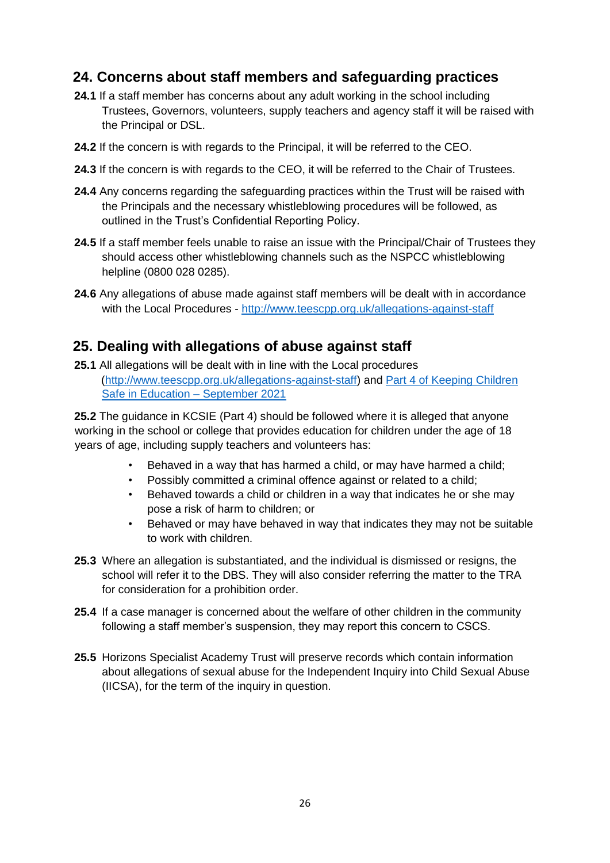## **24. Concerns about staff members and safeguarding practices**

- **24.1** If a staff member has concerns about any adult working in the school including Trustees, Governors, volunteers, supply teachers and agency staff it will be raised with the Principal or DSL.
- **24.2** If the concern is with regards to the Principal, it will be referred to the CEO.
- **24.3** If the concern is with regards to the CEO, it will be referred to the Chair of Trustees.
- **24.4** Any concerns regarding the safeguarding practices within the Trust will be raised with the Principals and the necessary whistleblowing procedures will be followed, as outlined in the Trust's Confidential Reporting Policy.
- **24.5** If a staff member feels unable to raise an issue with the Principal/Chair of Trustees they should access other whistleblowing channels such as the NSPCC whistleblowing helpline (0800 028 0285).
- **24.6** Any allegations of abuse made against staff members will be dealt with in accordance with the Local Procedures [-](http://www.teescpp.org.uk/allegations-against-staff) <http://www.teescpp.org.uk/allegations-against-staff>

## **25. Dealing with allegations of abuse against staff**

**25.1** All allegations will be dealt with in line with the Local procedures [\(http://www.teescpp.org.uk/allegations-against-staff\) a](http://www.teescpp.org.uk/allegations-against-staff)nd [Part 4 of Keeping Children](https://assets.publishing.service.gov.uk/government/uploads/system/uploads/attachment_data/file/741314/Keeping_Children_Safe_in_Education__3_September_2018_14.09.18.pdf) [Safe in Education](https://assets.publishing.service.gov.uk/government/uploads/system/uploads/attachment_data/file/741314/Keeping_Children_Safe_in_Education__3_September_2018_14.09.18.pdf) [–](https://assets.publishing.service.gov.uk/government/uploads/system/uploads/attachment_data/file/741314/Keeping_Children_Safe_in_Education__3_September_2018_14.09.18.pdf) [Se](https://assets.publishing.service.gov.uk/government/uploads/system/uploads/attachment_data/file/741314/Keeping_Children_Safe_in_Education__3_September_2018_14.09.18.pdf)ptember 202[1](https://assets.publishing.service.gov.uk/government/uploads/system/uploads/attachment_data/file/741314/Keeping_Children_Safe_in_Education__3_September_2018_14.09.18.pdf) 

**25.2** The guidance in KCSIE (Part 4) should be followed where it is alleged that anyone working in the school or college that provides education for children under the age of 18 years of age, including supply teachers and volunteers has:

- Behaved in a way that has harmed a child, or may have harmed a child;
- Possibly committed a criminal offence against or related to a child;
- Behaved towards a child or children in a way that indicates he or she may pose a risk of harm to children; or
- Behaved or may have behaved in way that indicates they may not be suitable to work with children.
- **25.3** Where an allegation is substantiated, and the individual is dismissed or resigns, the school will refer it to the DBS. They will also consider referring the matter to the TRA for consideration for a prohibition order.
- **25.4** If a case manager is concerned about the welfare of other children in the community following a staff member's suspension, they may report this concern to CSCS.
- **25.5** Horizons Specialist Academy Trust will preserve records which contain information about allegations of sexual abuse for the Independent Inquiry into Child Sexual Abuse (IICSA), for the term of the inquiry in question.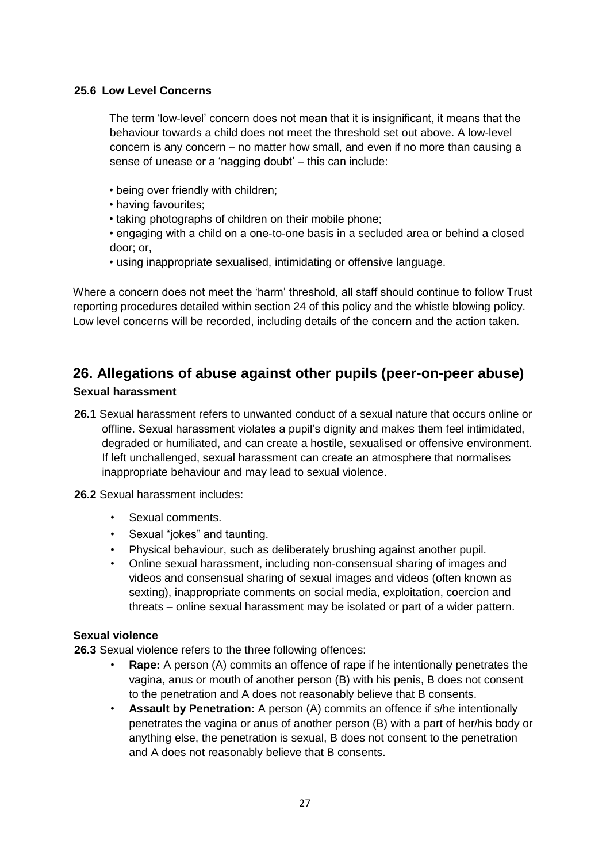#### **25.6 Low Level Concerns**

The term 'low-level' concern does not mean that it is insignificant, it means that the behaviour towards a child does not meet the threshold set out above. A low-level concern is any concern – no matter how small, and even if no more than causing a sense of unease or a 'nagging doubt' – this can include:

- being over friendly with children;
- having favourites;
- taking photographs of children on their mobile phone;
- engaging with a child on a one-to-one basis in a secluded area or behind a closed door; or,
- using inappropriate sexualised, intimidating or offensive language.

Where a concern does not meet the 'harm' threshold, all staff should continue to follow Trust reporting procedures detailed within section 24 of this policy and the whistle blowing policy. Low level concerns will be recorded, including details of the concern and the action taken.

#### **26. Allegations of abuse against other pupils (peer-on-peer abuse) Sexual harassment**

- **26.1** Sexual harassment refers to unwanted conduct of a sexual nature that occurs online or offline. Sexual harassment violates a pupil's dignity and makes them feel intimidated, degraded or humiliated, and can create a hostile, sexualised or offensive environment. If left unchallenged, sexual harassment can create an atmosphere that normalises inappropriate behaviour and may lead to sexual violence.
- **26.2** Sexual harassment includes:
	- Sexual comments.
	- Sexual "jokes" and taunting.
	- Physical behaviour, such as deliberately brushing against another pupil.
	- Online sexual harassment, including non-consensual sharing of images and videos and consensual sharing of sexual images and videos (often known as sexting), inappropriate comments on social media, exploitation, coercion and threats – online sexual harassment may be isolated or part of a wider pattern.

#### **Sexual violence**

**26.3** Sexual violence refers to the three following offences:

- **Rape:** A person (A) commits an offence of rape if he intentionally penetrates the vagina, anus or mouth of another person (B) with his penis, B does not consent to the penetration and A does not reasonably believe that B consents.
- **Assault by Penetration:** A person (A) commits an offence if s/he intentionally penetrates the vagina or anus of another person (B) with a part of her/his body or anything else, the penetration is sexual, B does not consent to the penetration and A does not reasonably believe that B consents.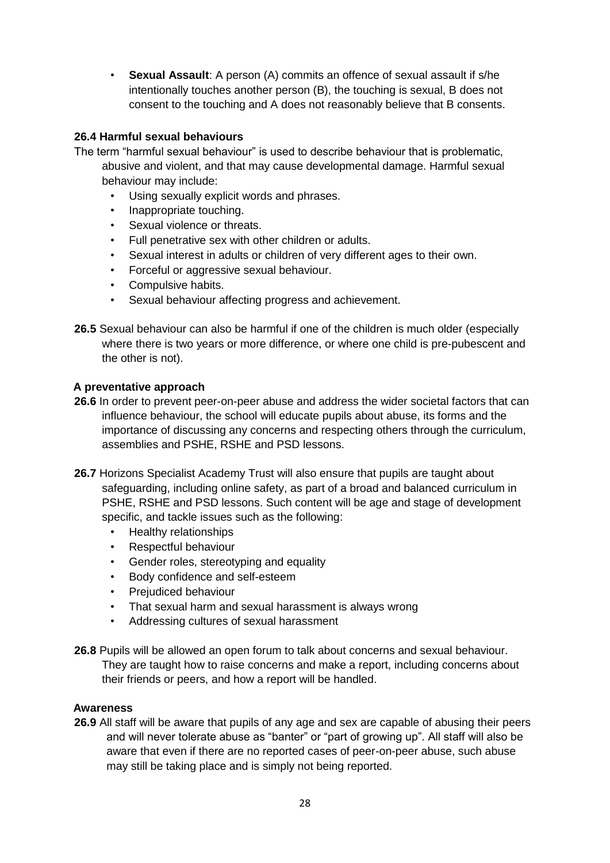• **Sexual Assault**: A person (A) commits an offence of sexual assault if s/he intentionally touches another person (B), the touching is sexual, B does not consent to the touching and A does not reasonably believe that B consents.

#### **26.4 Harmful sexual behaviours**

- The term "harmful sexual behaviour" is used to describe behaviour that is problematic, abusive and violent, and that may cause developmental damage. Harmful sexual behaviour may include:
	- Using sexually explicit words and phrases.
	- Inappropriate touching.
	- Sexual violence or threats.
	- Full penetrative sex with other children or adults.
	- Sexual interest in adults or children of very different ages to their own.
	- Forceful or aggressive sexual behaviour.
	- Compulsive habits.
	- Sexual behaviour affecting progress and achievement.
- **26.5** Sexual behaviour can also be harmful if one of the children is much older (especially where there is two years or more difference, or where one child is pre-pubescent and the other is not).

#### **A preventative approach**

- **26.6** In order to prevent peer-on-peer abuse and address the wider societal factors that can influence behaviour, the school will educate pupils about abuse, its forms and the importance of discussing any concerns and respecting others through the curriculum, assemblies and PSHE, RSHE and PSD lessons.
- **26.7** Horizons Specialist Academy Trust will also ensure that pupils are taught about safeguarding, including online safety, as part of a broad and balanced curriculum in PSHE, RSHE and PSD lessons. Such content will be age and stage of development specific, and tackle issues such as the following:
	- Healthy relationships
	- Respectful behaviour
	- Gender roles, stereotyping and equality
	- Body confidence and self-esteem
	- Prejudiced behaviour
	- That sexual harm and sexual harassment is always wrong
	- Addressing cultures of sexual harassment
- **26.8** Pupils will be allowed an open forum to talk about concerns and sexual behaviour. They are taught how to raise concerns and make a report, including concerns about their friends or peers, and how a report will be handled.

#### **Awareness**

**26.9** All staff will be aware that pupils of any age and sex are capable of abusing their peers and will never tolerate abuse as "banter" or "part of growing up". All staff will also be aware that even if there are no reported cases of peer-on-peer abuse, such abuse may still be taking place and is simply not being reported.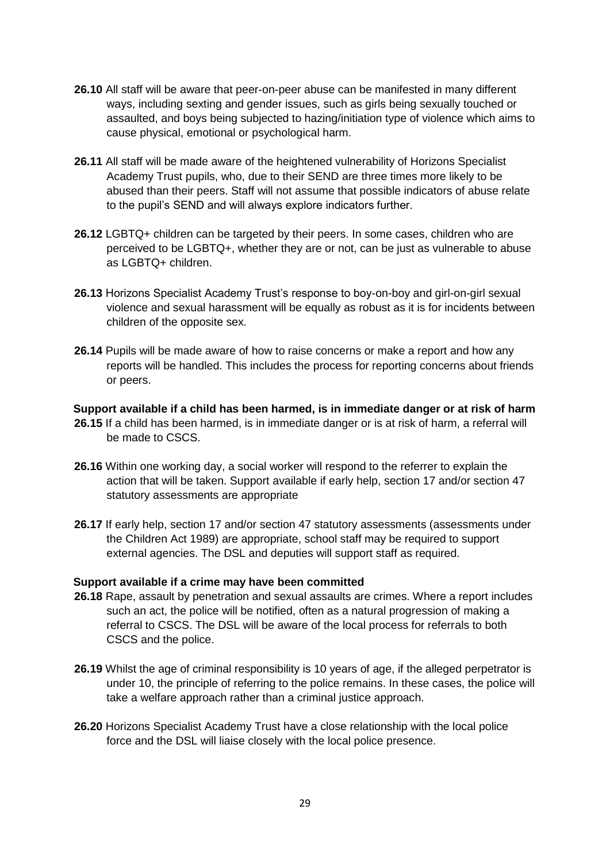- **26.10** All staff will be aware that peer-on-peer abuse can be manifested in many different ways, including sexting and gender issues, such as girls being sexually touched or assaulted, and boys being subjected to hazing/initiation type of violence which aims to cause physical, emotional or psychological harm.
- **26.11** All staff will be made aware of the heightened vulnerability of Horizons Specialist Academy Trust pupils, who, due to their SEND are three times more likely to be abused than their peers. Staff will not assume that possible indicators of abuse relate to the pupil's SEND and will always explore indicators further.
- **26.12** LGBTQ+ children can be targeted by their peers. In some cases, children who are perceived to be LGBTQ+, whether they are or not, can be just as vulnerable to abuse as LGBTQ+ children.
- **26.13** Horizons Specialist Academy Trust's response to boy-on-boy and girl-on-girl sexual violence and sexual harassment will be equally as robust as it is for incidents between children of the opposite sex.
- **26.14** Pupils will be made aware of how to raise concerns or make a report and how any reports will be handled. This includes the process for reporting concerns about friends or peers.

**Support available if a child has been harmed, is in immediate danger or at risk of harm** 

- **26.15** If a child has been harmed, is in immediate danger or is at risk of harm, a referral will be made to CSCS.
- **26.16** Within one working day, a social worker will respond to the referrer to explain the action that will be taken. Support available if early help, section 17 and/or section 47 statutory assessments are appropriate
- **26.17** If early help, section 17 and/or section 47 statutory assessments (assessments under the Children Act 1989) are appropriate, school staff may be required to support external agencies. The DSL and deputies will support staff as required.

#### **Support available if a crime may have been committed**

- **26.18** Rape, assault by penetration and sexual assaults are crimes. Where a report includes such an act, the police will be notified, often as a natural progression of making a referral to CSCS. The DSL will be aware of the local process for referrals to both CSCS and the police.
- 26.19 Whilst the age of criminal responsibility is 10 years of age, if the alleged perpetrator is under 10, the principle of referring to the police remains. In these cases, the police will take a welfare approach rather than a criminal justice approach.
- **26.20** Horizons Specialist Academy Trust have a close relationship with the local police force and the DSL will liaise closely with the local police presence.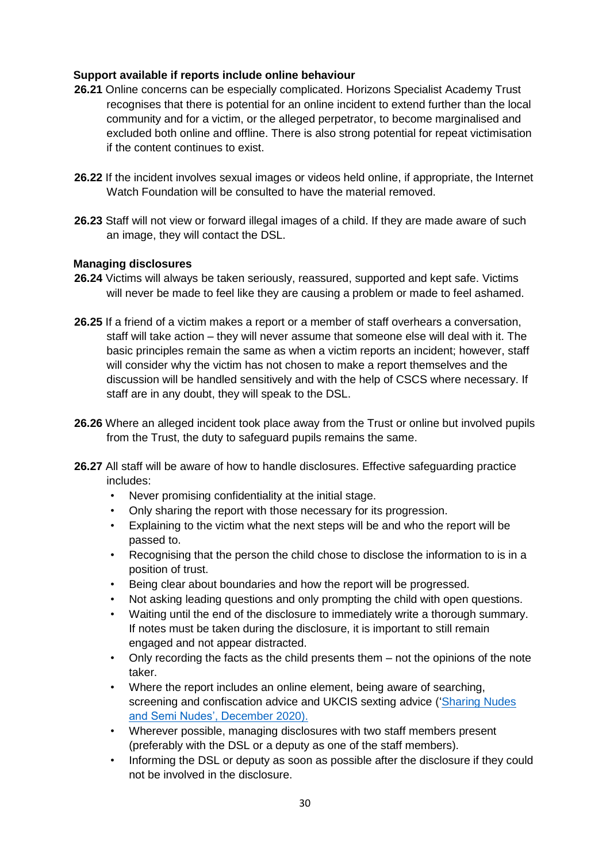#### **Support available if reports include online behaviour**

- **26.21** Online concerns can be especially complicated. Horizons Specialist Academy Trust recognises that there is potential for an online incident to extend further than the local community and for a victim, or the alleged perpetrator, to become marginalised and excluded both online and offline. There is also strong potential for repeat victimisation if the content continues to exist.
- **26.22** If the incident involves sexual images or videos held online, if appropriate, the Internet Watch Foundation will be consulted to have the material removed.
- **26.23** Staff will not view or forward illegal images of a child. If they are made aware of such an image, they will contact the DSL.

#### **Managing disclosures**

- **26.24** Victims will always be taken seriously, reassured, supported and kept safe. Victims will never be made to feel like they are causing a problem or made to feel ashamed.
- **26.25** If a friend of a victim makes a report or a member of staff overhears a conversation, staff will take action – they will never assume that someone else will deal with it. The basic principles remain the same as when a victim reports an incident; however, staff will consider why the victim has not chosen to make a report themselves and the discussion will be handled sensitively and with the help of CSCS where necessary. If staff are in any doubt, they will speak to the DSL.
- **26.26** Where an alleged incident took place away from the Trust or online but involved pupils from the Trust, the duty to safeguard pupils remains the same.
- **26.27** All staff will be aware of how to handle disclosures. Effective safeguarding practice includes:
	- Never promising confidentiality at the initial stage.
	- Only sharing the report with those necessary for its progression.
	- Explaining to the victim what the next steps will be and who the report will be passed to.
	- Recognising that the person the child chose to disclose the information to is in a position of trust.
	- Being clear about boundaries and how the report will be progressed.
	- Not asking leading questions and only prompting the child with open questions.
	- Waiting until the end of the disclosure to immediately write a thorough summary. If notes must be taken during the disclosure, it is important to still remain engaged and not appear distracted.
	- Only recording the facts as the child presents them not the opinions of the note taker.
	- Where the report includes an online element, being aware of searching, screening and confiscation advice and UKCIS sexting advice (['Sharing Nudes](https://www.gov.uk/government/publications/sharing-nudes-and-semi-nudes-advice-for-education-settings-working-with-children-and-young-people/sharing-nudes-and-semi-nudes-how-to-respond-to-an-incident-overview)  [and Semi Nudes', December 2020\).](https://www.gov.uk/government/publications/sharing-nudes-and-semi-nudes-advice-for-education-settings-working-with-children-and-young-people/sharing-nudes-and-semi-nudes-how-to-respond-to-an-incident-overview)
	- Wherever possible, managing disclosures with two staff members present (preferably with the DSL or a deputy as one of the staff members).
	- Informing the DSL or deputy as soon as possible after the disclosure if they could not be involved in the disclosure.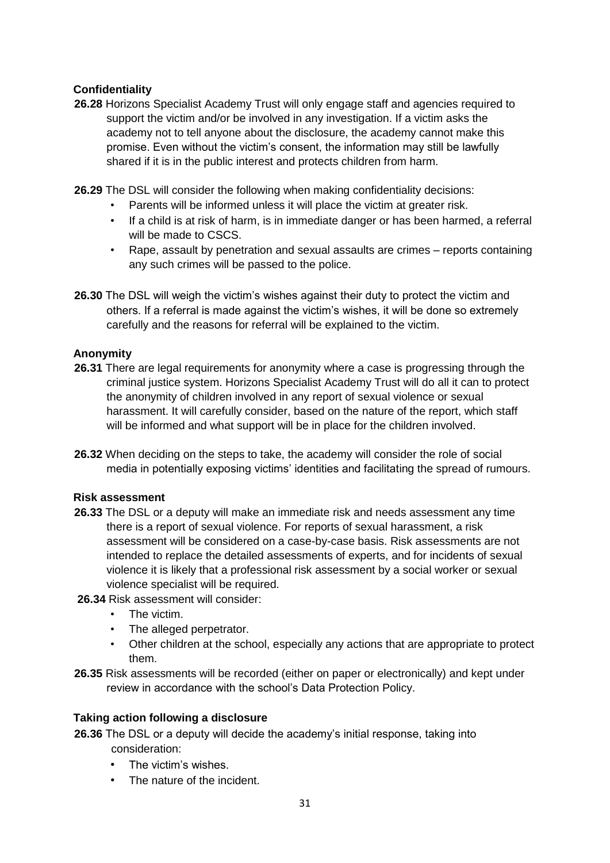#### **Confidentiality**

- **26.28** Horizons Specialist Academy Trust will only engage staff and agencies required to support the victim and/or be involved in any investigation. If a victim asks the academy not to tell anyone about the disclosure, the academy cannot make this promise. Even without the victim's consent, the information may still be lawfully shared if it is in the public interest and protects children from harm.
- **26.29** The DSL will consider the following when making confidentiality decisions:
	- Parents will be informed unless it will place the victim at greater risk.
	- If a child is at risk of harm, is in immediate danger or has been harmed, a referral will be made to CSCS.
	- Rape, assault by penetration and sexual assaults are crimes reports containing any such crimes will be passed to the police.
- **26.30** The DSL will weigh the victim's wishes against their duty to protect the victim and others. If a referral is made against the victim's wishes, it will be done so extremely carefully and the reasons for referral will be explained to the victim.

#### **Anonymity**

- **26.31** There are legal requirements for anonymity where a case is progressing through the criminal justice system. Horizons Specialist Academy Trust will do all it can to protect the anonymity of children involved in any report of sexual violence or sexual harassment. It will carefully consider, based on the nature of the report, which staff will be informed and what support will be in place for the children involved.
- **26.32** When deciding on the steps to take, the academy will consider the role of social media in potentially exposing victims' identities and facilitating the spread of rumours.

#### **Risk assessment**

- **26.33** The DSL or a deputy will make an immediate risk and needs assessment any time there is a report of sexual violence. For reports of sexual harassment, a risk assessment will be considered on a case-by-case basis. Risk assessments are not intended to replace the detailed assessments of experts, and for incidents of sexual violence it is likely that a professional risk assessment by a social worker or sexual violence specialist will be required.
- **26.34** Risk assessment will consider:
	- The victim.
	- The alleged perpetrator.
	- Other children at the school, especially any actions that are appropriate to protect them.
- **26.35** Risk assessments will be recorded (either on paper or electronically) and kept under review in accordance with the school's Data Protection Policy.

#### **Taking action following a disclosure**

- **26.36** The DSL or a deputy will decide the academy's initial response, taking into consideration:
	- The victim's wishes.
	- The nature of the incident.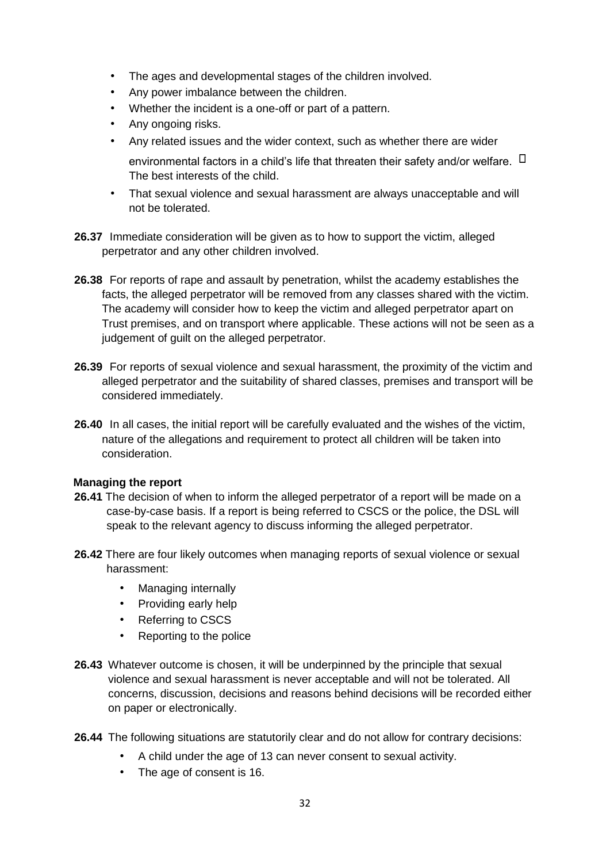- The ages and developmental stages of the children involved.
- Any power imbalance between the children.
- Whether the incident is a one-off or part of a pattern.
- Any ongoing risks.
- Any related issues and the wider context, such as whether there are wider

environmental factors in a child's life that threaten their safety and/or welfare.  $\Box$ The best interests of the child.

- That sexual violence and sexual harassment are always unacceptable and will not be tolerated.
- **26.37** Immediate consideration will be given as to how to support the victim, alleged perpetrator and any other children involved.
- **26.38** For reports of rape and assault by penetration, whilst the academy establishes the facts, the alleged perpetrator will be removed from any classes shared with the victim. The academy will consider how to keep the victim and alleged perpetrator apart on Trust premises, and on transport where applicable. These actions will not be seen as a judgement of guilt on the alleged perpetrator.
- **26.39** For reports of sexual violence and sexual harassment, the proximity of the victim and alleged perpetrator and the suitability of shared classes, premises and transport will be considered immediately.
- **26.40** In all cases, the initial report will be carefully evaluated and the wishes of the victim, nature of the allegations and requirement to protect all children will be taken into consideration.

#### **Managing the report**

- **26.41** The decision of when to inform the alleged perpetrator of a report will be made on a case-by-case basis. If a report is being referred to CSCS or the police, the DSL will speak to the relevant agency to discuss informing the alleged perpetrator.
- **26.42** There are four likely outcomes when managing reports of sexual violence or sexual harassment:
	- Managing internally
	- Providing early help
	- Referring to CSCS
	- Reporting to the police
- **26.43** Whatever outcome is chosen, it will be underpinned by the principle that sexual violence and sexual harassment is never acceptable and will not be tolerated. All concerns, discussion, decisions and reasons behind decisions will be recorded either on paper or electronically.
- **26.44** The following situations are statutorily clear and do not allow for contrary decisions:
	- A child under the age of 13 can never consent to sexual activity.
	- The age of consent is 16.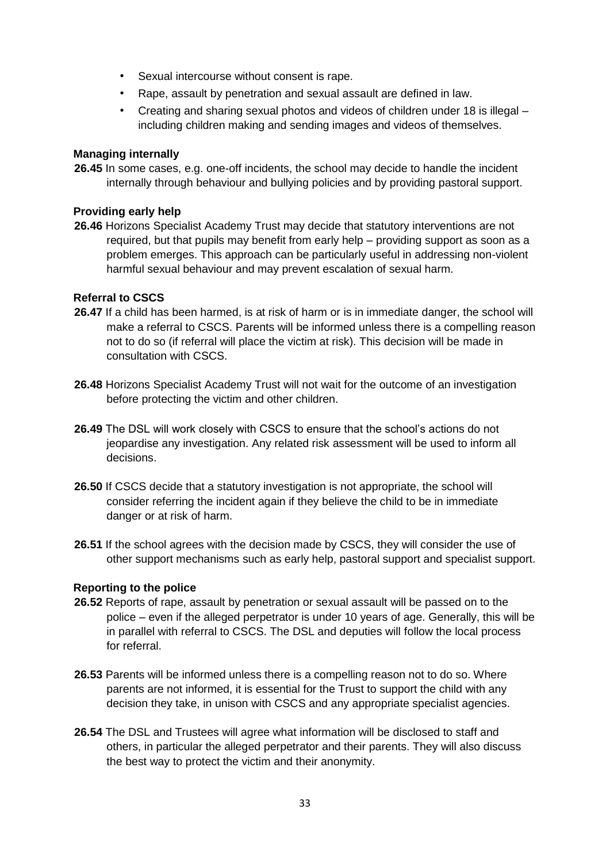- Sexual intercourse without consent is rape.
- Rape, assault by penetration and sexual assault are defined in law.
- Creating and sharing sexual photos and videos of children under 18 is illegal including children making and sending images and videos of themselves.

#### **Managing internally**

**26.45** In some cases, e.g. one-off incidents, the school may decide to handle the incident internally through behaviour and bullying policies and by providing pastoral support.

#### **Providing early help**

**26.46** Horizons Specialist Academy Trust may decide that statutory interventions are not required, but that pupils may benefit from early help – providing support as soon as a problem emerges. This approach can be particularly useful in addressing non-violent harmful sexual behaviour and may prevent escalation of sexual harm.

#### **Referral to CSCS**

- **26.47** If a child has been harmed, is at risk of harm or is in immediate danger, the school will make a referral to CSCS. Parents will be informed unless there is a compelling reason not to do so (if referral will place the victim at risk). This decision will be made in consultation with CSCS.
- **26.48** Horizons Specialist Academy Trust will not wait for the outcome of an investigation before protecting the victim and other children.
- **26.49** The DSL will work closely with CSCS to ensure that the school's actions do not jeopardise any investigation. Any related risk assessment will be used to inform all decisions.
- **26.50** If CSCS decide that a statutory investigation is not appropriate, the school will consider referring the incident again if they believe the child to be in immediate danger or at risk of harm.
- **26.51** If the school agrees with the decision made by CSCS, they will consider the use of other support mechanisms such as early help, pastoral support and specialist support.

#### **Reporting to the police**

- **26.52** Reports of rape, assault by penetration or sexual assault will be passed on to the police – even if the alleged perpetrator is under 10 years of age. Generally, this will be in parallel with referral to CSCS. The DSL and deputies will follow the local process for referral.
- **26.53** Parents will be informed unless there is a compelling reason not to do so. Where parents are not informed, it is essential for the Trust to support the child with any decision they take, in unison with CSCS and any appropriate specialist agencies.
- **26.54** The DSL and Trustees will agree what information will be disclosed to staff and others, in particular the alleged perpetrator and their parents. They will also discuss the best way to protect the victim and their anonymity.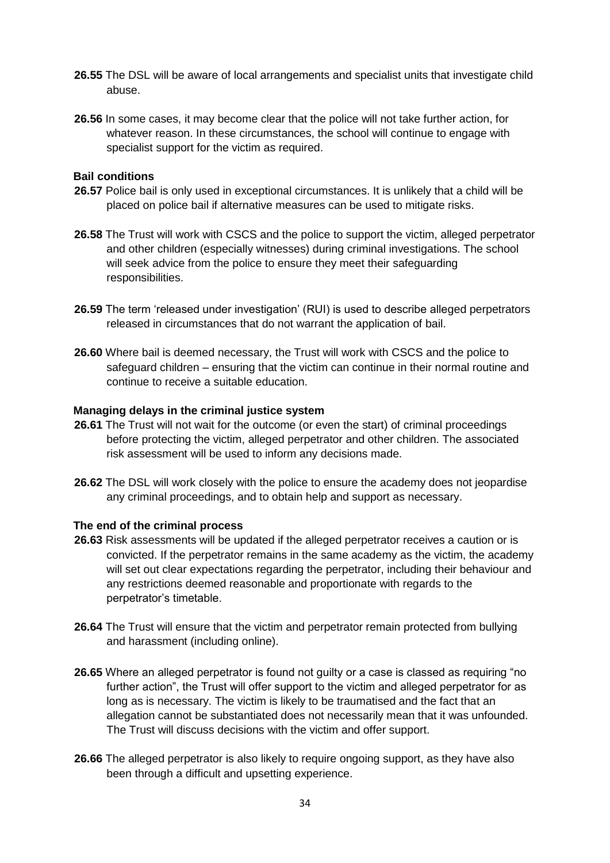- **26.55** The DSL will be aware of local arrangements and specialist units that investigate child abuse.
- **26.56** In some cases, it may become clear that the police will not take further action, for whatever reason. In these circumstances, the school will continue to engage with specialist support for the victim as required.

#### **Bail conditions**

- **26.57** Police bail is only used in exceptional circumstances. It is unlikely that a child will be placed on police bail if alternative measures can be used to mitigate risks.
- **26.58** The Trust will work with CSCS and the police to support the victim, alleged perpetrator and other children (especially witnesses) during criminal investigations. The school will seek advice from the police to ensure they meet their safeguarding responsibilities.
- 26.59 The term 'released under investigation' (RUI) is used to describe alleged perpetrators released in circumstances that do not warrant the application of bail.
- **26.60** Where bail is deemed necessary, the Trust will work with CSCS and the police to safeguard children – ensuring that the victim can continue in their normal routine and continue to receive a suitable education.

#### **Managing delays in the criminal justice system**

- **26.61** The Trust will not wait for the outcome (or even the start) of criminal proceedings before protecting the victim, alleged perpetrator and other children. The associated risk assessment will be used to inform any decisions made.
- **26.62** The DSL will work closely with the police to ensure the academy does not jeopardise any criminal proceedings, and to obtain help and support as necessary.

#### **The end of the criminal process**

- **26.63** Risk assessments will be updated if the alleged perpetrator receives a caution or is convicted. If the perpetrator remains in the same academy as the victim, the academy will set out clear expectations regarding the perpetrator, including their behaviour and any restrictions deemed reasonable and proportionate with regards to the perpetrator's timetable.
- **26.64** The Trust will ensure that the victim and perpetrator remain protected from bullying and harassment (including online).
- **26.65** Where an alleged perpetrator is found not guilty or a case is classed as requiring "no further action", the Trust will offer support to the victim and alleged perpetrator for as long as is necessary. The victim is likely to be traumatised and the fact that an allegation cannot be substantiated does not necessarily mean that it was unfounded. The Trust will discuss decisions with the victim and offer support.
- **26.66** The alleged perpetrator is also likely to require ongoing support, as they have also been through a difficult and upsetting experience.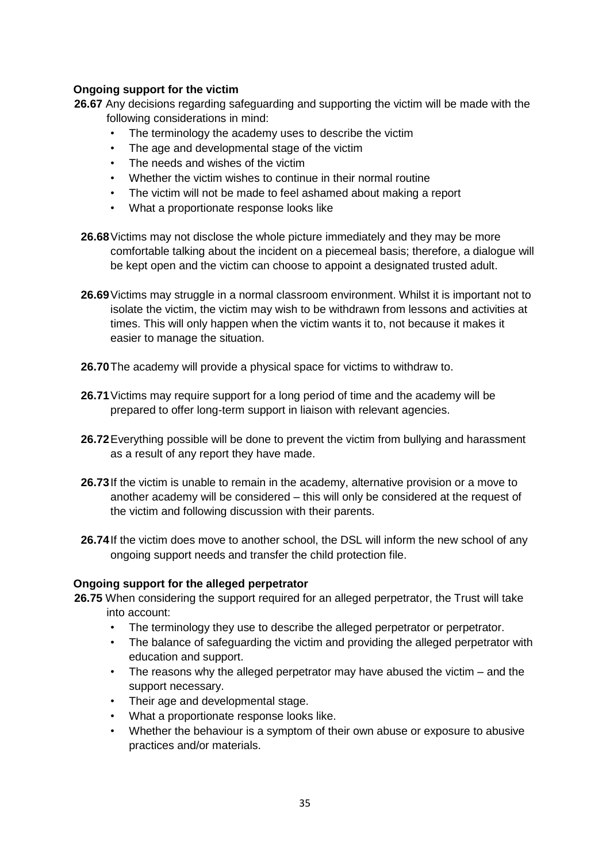#### **Ongoing support for the victim**

**26.67** Any decisions regarding safeguarding and supporting the victim will be made with the following considerations in mind:

- The terminology the academy uses to describe the victim
- The age and developmental stage of the victim
- The needs and wishes of the victim
- Whether the victim wishes to continue in their normal routine
- The victim will not be made to feel ashamed about making a report
- What a proportionate response looks like
- **26.68**Victims may not disclose the whole picture immediately and they may be more comfortable talking about the incident on a piecemeal basis; therefore, a dialogue will be kept open and the victim can choose to appoint a designated trusted adult.
- 26.69 Victims may struggle in a normal classroom environment. Whilst it is important not to isolate the victim, the victim may wish to be withdrawn from lessons and activities at times. This will only happen when the victim wants it to, not because it makes it easier to manage the situation.
- **26.70**The academy will provide a physical space for victims to withdraw to.
- **26.71**Victims may require support for a long period of time and the academy will be prepared to offer long-term support in liaison with relevant agencies.
- **26.72**Everything possible will be done to prevent the victim from bullying and harassment as a result of any report they have made.
- **26.73**If the victim is unable to remain in the academy, alternative provision or a move to another academy will be considered – this will only be considered at the request of the victim and following discussion with their parents.
- **26.74**If the victim does move to another school, the DSL will inform the new school of any ongoing support needs and transfer the child protection file.

#### **Ongoing support for the alleged perpetrator**

- 26.75 When considering the support required for an alleged perpetrator, the Trust will take into account:
	- The terminology they use to describe the alleged perpetrator or perpetrator.
	- The balance of safeguarding the victim and providing the alleged perpetrator with education and support.
	- The reasons why the alleged perpetrator may have abused the victim and the support necessary.
	- Their age and developmental stage.
	- What a proportionate response looks like.
	- Whether the behaviour is a symptom of their own abuse or exposure to abusive practices and/or materials.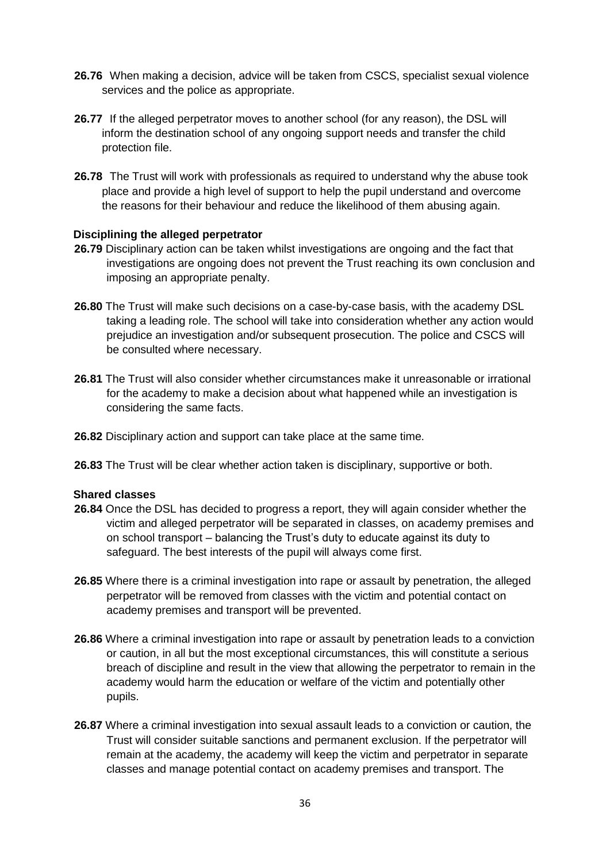- **26.76** When making a decision, advice will be taken from CSCS, specialist sexual violence services and the police as appropriate.
- **26.77** If the alleged perpetrator moves to another school (for any reason), the DSL will inform the destination school of any ongoing support needs and transfer the child protection file.
- **26.78** The Trust will work with professionals as required to understand why the abuse took place and provide a high level of support to help the pupil understand and overcome the reasons for their behaviour and reduce the likelihood of them abusing again.

#### **Disciplining the alleged perpetrator**

- **26.79** Disciplinary action can be taken whilst investigations are ongoing and the fact that investigations are ongoing does not prevent the Trust reaching its own conclusion and imposing an appropriate penalty.
- **26.80** The Trust will make such decisions on a case-by-case basis, with the academy DSL taking a leading role. The school will take into consideration whether any action would prejudice an investigation and/or subsequent prosecution. The police and CSCS will be consulted where necessary.
- **26.81** The Trust will also consider whether circumstances make it unreasonable or irrational for the academy to make a decision about what happened while an investigation is considering the same facts.
- **26.82** Disciplinary action and support can take place at the same time.
- **26.83** The Trust will be clear whether action taken is disciplinary, supportive or both.

#### **Shared classes**

- **26.84** Once the DSL has decided to progress a report, they will again consider whether the victim and alleged perpetrator will be separated in classes, on academy premises and on school transport – balancing the Trust's duty to educate against its duty to safeguard. The best interests of the pupil will always come first.
- **26.85** Where there is a criminal investigation into rape or assault by penetration, the alleged perpetrator will be removed from classes with the victim and potential contact on academy premises and transport will be prevented.
- **26.86** Where a criminal investigation into rape or assault by penetration leads to a conviction or caution, in all but the most exceptional circumstances, this will constitute a serious breach of discipline and result in the view that allowing the perpetrator to remain in the academy would harm the education or welfare of the victim and potentially other pupils.
- **26.87** Where a criminal investigation into sexual assault leads to a conviction or caution, the Trust will consider suitable sanctions and permanent exclusion. If the perpetrator will remain at the academy, the academy will keep the victim and perpetrator in separate classes and manage potential contact on academy premises and transport. The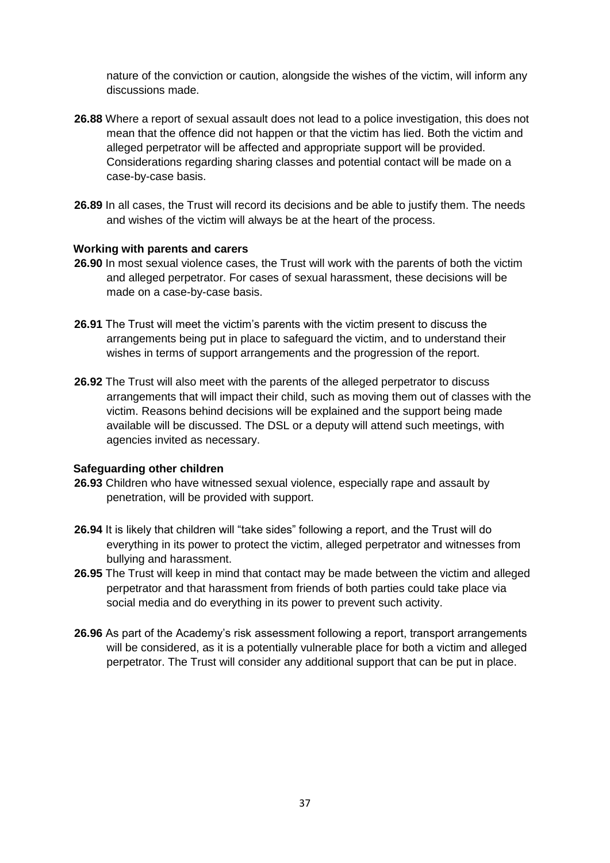nature of the conviction or caution, alongside the wishes of the victim, will inform any discussions made.

- **26.88** Where a report of sexual assault does not lead to a police investigation, this does not mean that the offence did not happen or that the victim has lied. Both the victim and alleged perpetrator will be affected and appropriate support will be provided. Considerations regarding sharing classes and potential contact will be made on a case-by-case basis.
- **26.89** In all cases, the Trust will record its decisions and be able to justify them. The needs and wishes of the victim will always be at the heart of the process.

#### **Working with parents and carers**

- **26.90** In most sexual violence cases, the Trust will work with the parents of both the victim and alleged perpetrator. For cases of sexual harassment, these decisions will be made on a case-by-case basis.
- **26.91** The Trust will meet the victim's parents with the victim present to discuss the arrangements being put in place to safeguard the victim, and to understand their wishes in terms of support arrangements and the progression of the report.
- **26.92** The Trust will also meet with the parents of the alleged perpetrator to discuss arrangements that will impact their child, such as moving them out of classes with the victim. Reasons behind decisions will be explained and the support being made available will be discussed. The DSL or a deputy will attend such meetings, with agencies invited as necessary.

#### **Safeguarding other children**

- **26.93** Children who have witnessed sexual violence, especially rape and assault by penetration, will be provided with support.
- **26.94** It is likely that children will "take sides" following a report, and the Trust will do everything in its power to protect the victim, alleged perpetrator and witnesses from bullying and harassment.
- **26.95** The Trust will keep in mind that contact may be made between the victim and alleged perpetrator and that harassment from friends of both parties could take place via social media and do everything in its power to prevent such activity.
- **26.96** As part of the Academy's risk assessment following a report, transport arrangements will be considered, as it is a potentially vulnerable place for both a victim and alleged perpetrator. The Trust will consider any additional support that can be put in place.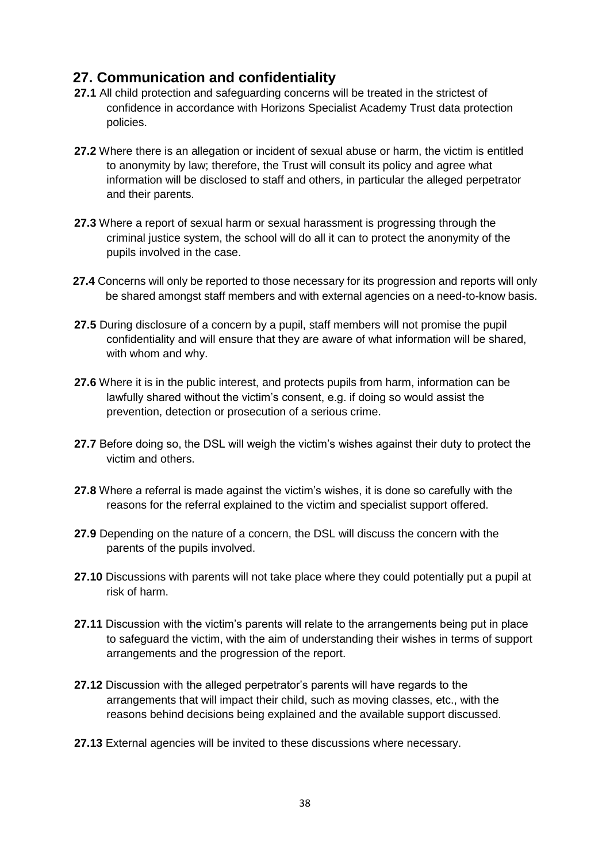## **27. Communication and confidentiality**

- **27.1** All child protection and safeguarding concerns will be treated in the strictest of confidence in accordance with Horizons Specialist Academy Trust data protection policies.
- **27.2** Where there is an allegation or incident of sexual abuse or harm, the victim is entitled to anonymity by law; therefore, the Trust will consult its policy and agree what information will be disclosed to staff and others, in particular the alleged perpetrator and their parents.
- **27.3** Where a report of sexual harm or sexual harassment is progressing through the criminal justice system, the school will do all it can to protect the anonymity of the pupils involved in the case.
- **27.4** Concerns will only be reported to those necessary for its progression and reports will only be shared amongst staff members and with external agencies on a need-to-know basis.
- **27.5** During disclosure of a concern by a pupil, staff members will not promise the pupil confidentiality and will ensure that they are aware of what information will be shared, with whom and why.
- **27.6** Where it is in the public interest, and protects pupils from harm, information can be lawfully shared without the victim's consent, e.g. if doing so would assist the prevention, detection or prosecution of a serious crime.
- **27.7** Before doing so, the DSL will weigh the victim's wishes against their duty to protect the victim and others.
- **27.8** Where a referral is made against the victim's wishes, it is done so carefully with the reasons for the referral explained to the victim and specialist support offered.
- **27.9** Depending on the nature of a concern, the DSL will discuss the concern with the parents of the pupils involved.
- **27.10** Discussions with parents will not take place where they could potentially put a pupil at risk of harm.
- **27.11** Discussion with the victim's parents will relate to the arrangements being put in place to safeguard the victim, with the aim of understanding their wishes in terms of support arrangements and the progression of the report.
- **27.12** Discussion with the alleged perpetrator's parents will have regards to the arrangements that will impact their child, such as moving classes, etc., with the reasons behind decisions being explained and the available support discussed.
- **27.13** External agencies will be invited to these discussions where necessary.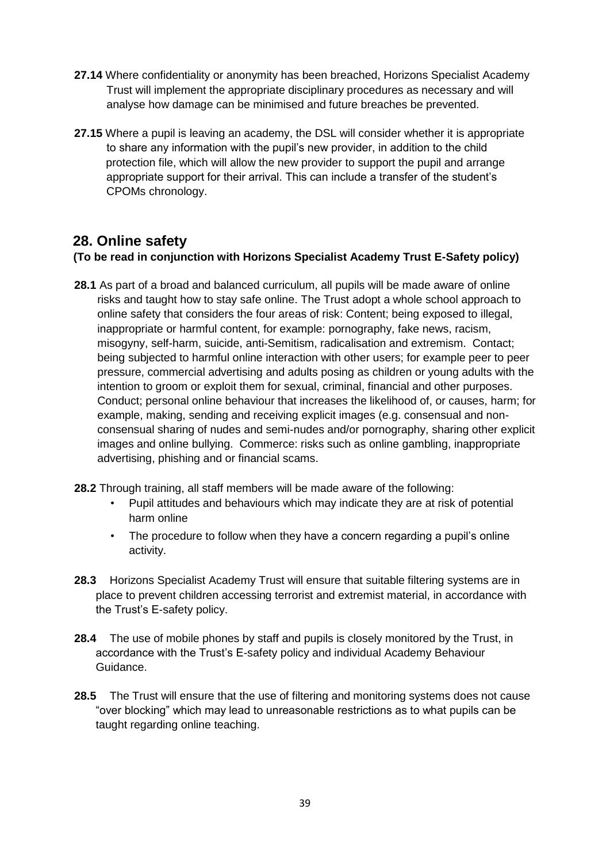- **27.14** Where confidentiality or anonymity has been breached, Horizons Specialist Academy Trust will implement the appropriate disciplinary procedures as necessary and will analyse how damage can be minimised and future breaches be prevented.
- **27.15** Where a pupil is leaving an academy, the DSL will consider whether it is appropriate to share any information with the pupil's new provider, in addition to the child protection file, which will allow the new provider to support the pupil and arrange appropriate support for their arrival. This can include a transfer of the student's CPOMs chronology.

#### **28. Online safety (To be read in conjunction with Horizons Specialist Academy Trust E-Safety policy)**

- **28.1** As part of a broad and balanced curriculum, all pupils will be made aware of online risks and taught how to stay safe online. The Trust adopt a whole school approach to online safety that considers the four areas of risk: Content; being exposed to illegal, inappropriate or harmful content, for example: pornography, fake news, racism, misogyny, self-harm, suicide, anti-Semitism, radicalisation and extremism. Contact; being subjected to harmful online interaction with other users; for example peer to peer pressure, commercial advertising and adults posing as children or young adults with the intention to groom or exploit them for sexual, criminal, financial and other purposes. Conduct; personal online behaviour that increases the likelihood of, or causes, harm; for example, making, sending and receiving explicit images (e.g. consensual and nonconsensual sharing of nudes and semi-nudes and/or pornography, sharing other explicit images and online bullying. Commerce: risks such as online gambling, inappropriate advertising, phishing and or financial scams.
- **28.2** Through training, all staff members will be made aware of the following:
	- Pupil attitudes and behaviours which may indicate they are at risk of potential harm online
	- The procedure to follow when they have a concern regarding a pupil's online activity.
- **28.3** Horizons Specialist Academy Trust will ensure that suitable filtering systems are in place to prevent children accessing terrorist and extremist material, in accordance with the Trust's E-safety policy.
- **28.4** The use of mobile phones by staff and pupils is closely monitored by the Trust, in accordance with the Trust's E-safety policy and individual Academy Behaviour Guidance.
- **28.5** The Trust will ensure that the use of filtering and monitoring systems does not cause "over blocking" which may lead to unreasonable restrictions as to what pupils can be taught regarding online teaching.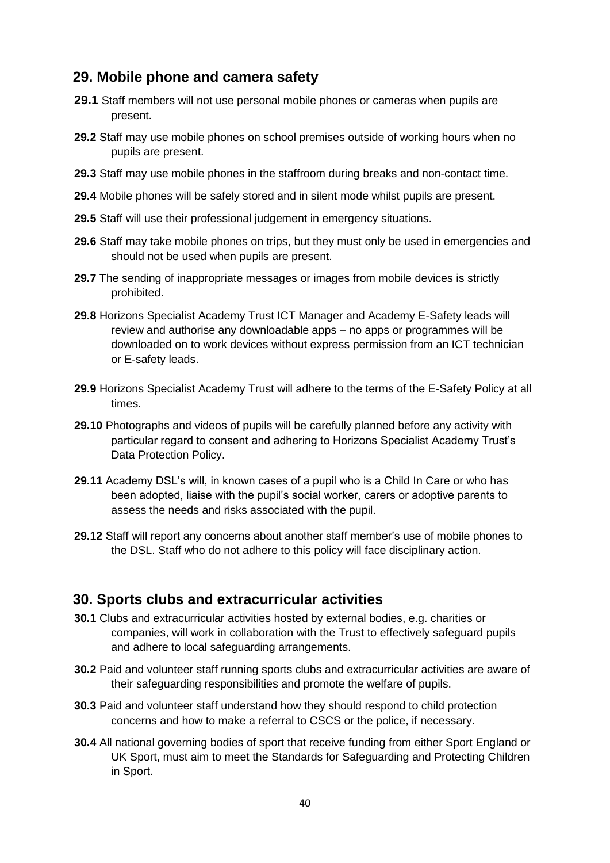## **29. Mobile phone and camera safety**

- **29.1** Staff members will not use personal mobile phones or cameras when pupils are present.
- **29.2** Staff may use mobile phones on school premises outside of working hours when no pupils are present.
- **29.3** Staff may use mobile phones in the staffroom during breaks and non-contact time.
- **29.4** Mobile phones will be safely stored and in silent mode whilst pupils are present.
- **29.5** Staff will use their professional judgement in emergency situations.
- **29.6** Staff may take mobile phones on trips, but they must only be used in emergencies and should not be used when pupils are present.
- **29.7** The sending of inappropriate messages or images from mobile devices is strictly prohibited.
- **29.8** Horizons Specialist Academy Trust ICT Manager and Academy E-Safety leads will review and authorise any downloadable apps – no apps or programmes will be downloaded on to work devices without express permission from an ICT technician or E-safety leads.
- **29.9** Horizons Specialist Academy Trust will adhere to the terms of the E-Safety Policy at all times.
- **29.10** Photographs and videos of pupils will be carefully planned before any activity with particular regard to consent and adhering to Horizons Specialist Academy Trust's Data Protection Policy.
- **29.11** Academy DSL's will, in known cases of a pupil who is a Child In Care or who has been adopted, liaise with the pupil's social worker, carers or adoptive parents to assess the needs and risks associated with the pupil.
- **29.12** Staff will report any concerns about another staff member's use of mobile phones to the DSL. Staff who do not adhere to this policy will face disciplinary action.

#### **30. Sports clubs and extracurricular activities**

- **30.1** Clubs and extracurricular activities hosted by external bodies, e.g. charities or companies, will work in collaboration with the Trust to effectively safeguard pupils and adhere to local safeguarding arrangements.
- **30.2** Paid and volunteer staff running sports clubs and extracurricular activities are aware of their safeguarding responsibilities and promote the welfare of pupils.
- **30.3** Paid and volunteer staff understand how they should respond to child protection concerns and how to make a referral to CSCS or the police, if necessary.
- **30.4** All national governing bodies of sport that receive funding from either Sport England or UK Sport, must aim to meet the Standards for Safeguarding and Protecting Children in Sport.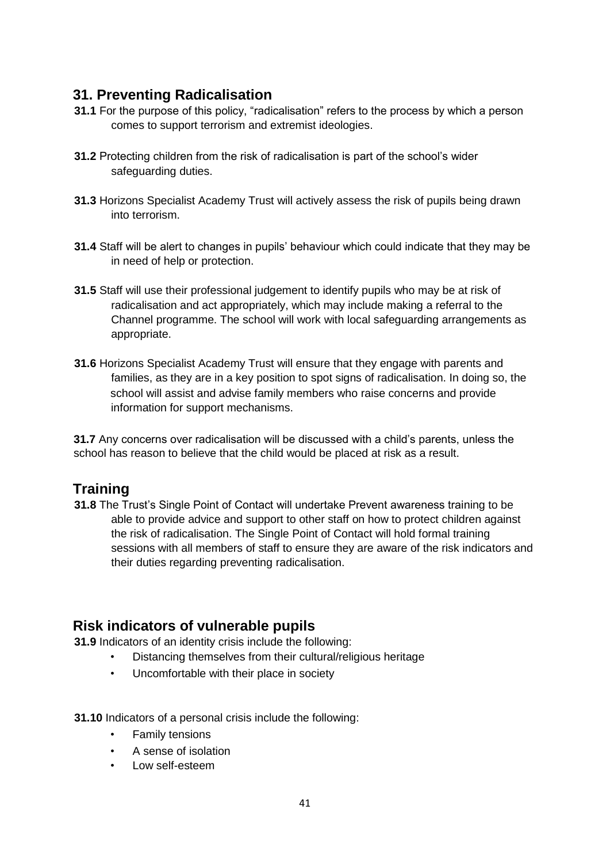## **31. Preventing Radicalisation**

- **31.1** For the purpose of this policy, "radicalisation" refers to the process by which a person comes to support terrorism and extremist ideologies.
- **31.2** Protecting children from the risk of radicalisation is part of the school's wider safeguarding duties.
- **31.3** Horizons Specialist Academy Trust will actively assess the risk of pupils being drawn into terrorism.
- **31.4** Staff will be alert to changes in pupils' behaviour which could indicate that they may be in need of help or protection.
- **31.5** Staff will use their professional judgement to identify pupils who may be at risk of radicalisation and act appropriately, which may include making a referral to the Channel programme. The school will work with local safeguarding arrangements as appropriate.
- **31.6** Horizons Specialist Academy Trust will ensure that they engage with parents and families, as they are in a key position to spot signs of radicalisation. In doing so, the school will assist and advise family members who raise concerns and provide information for support mechanisms.

**31.7** Any concerns over radicalisation will be discussed with a child's parents, unless the school has reason to believe that the child would be placed at risk as a result.

## **Training**

**31.8** The Trust's Single Point of Contact will undertake Prevent awareness training to be able to provide advice and support to other staff on how to protect children against the risk of radicalisation. The Single Point of Contact will hold formal training sessions with all members of staff to ensure they are aware of the risk indicators and their duties regarding preventing radicalisation.

## **Risk indicators of vulnerable pupils**

**31.9** Indicators of an identity crisis include the following:

- Distancing themselves from their cultural/religious heritage
- Uncomfortable with their place in society
- **31.10** Indicators of a personal crisis include the following:
	- Family tensions
	- A sense of isolation
	- Low self-esteem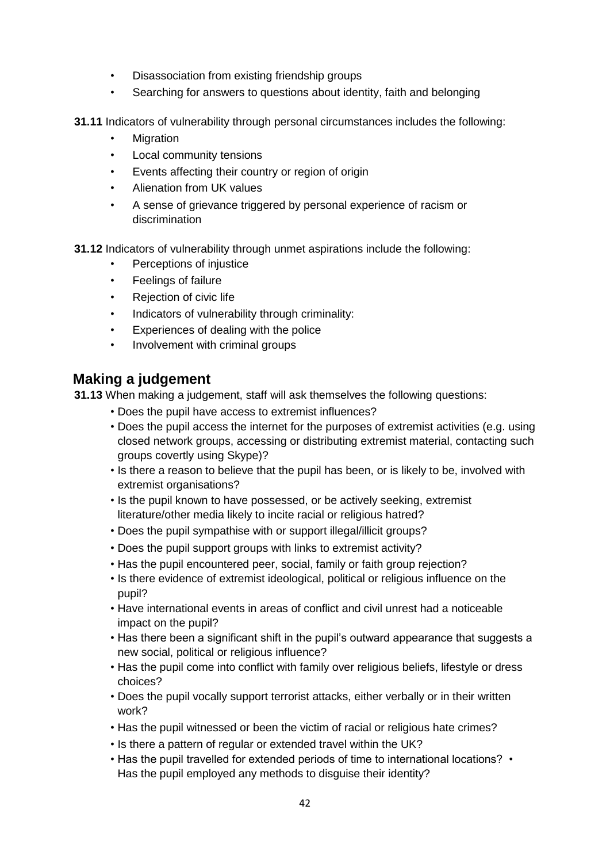- Disassociation from existing friendship groups
- Searching for answers to questions about identity, faith and belonging

**31.11** Indicators of vulnerability through personal circumstances includes the following:

- **Migration**
- Local community tensions
- Events affecting their country or region of origin
- Alienation from UK values
- A sense of grievance triggered by personal experience of racism or discrimination
- **31.12** Indicators of vulnerability through unmet aspirations include the following:
	- Perceptions of injustice
	- Feelings of failure
	- Rejection of civic life
	- Indicators of vulnerability through criminality:
	- Experiences of dealing with the police
	- Involvement with criminal groups

#### **Making a judgement**

**31.13** When making a judgement, staff will ask themselves the following questions:

- Does the pupil have access to extremist influences?
- Does the pupil access the internet for the purposes of extremist activities (e.g. using closed network groups, accessing or distributing extremist material, contacting such groups covertly using Skype)?
- Is there a reason to believe that the pupil has been, or is likely to be, involved with extremist organisations?
- Is the pupil known to have possessed, or be actively seeking, extremist literature/other media likely to incite racial or religious hatred?
- Does the pupil sympathise with or support illegal/illicit groups?
- Does the pupil support groups with links to extremist activity?
- Has the pupil encountered peer, social, family or faith group rejection?
- Is there evidence of extremist ideological, political or religious influence on the pupil?
- Have international events in areas of conflict and civil unrest had a noticeable impact on the pupil?
- Has there been a significant shift in the pupil's outward appearance that suggests a new social, political or religious influence?
- Has the pupil come into conflict with family over religious beliefs, lifestyle or dress choices?
- Does the pupil vocally support terrorist attacks, either verbally or in their written work?
- Has the pupil witnessed or been the victim of racial or religious hate crimes?
- Is there a pattern of regular or extended travel within the UK?
- Has the pupil travelled for extended periods of time to international locations? Has the pupil employed any methods to disguise their identity?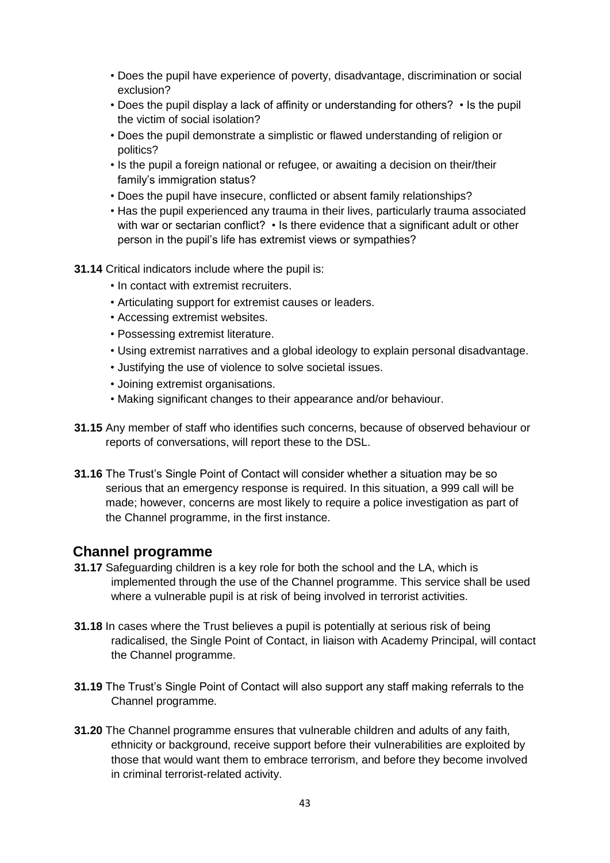- Does the pupil have experience of poverty, disadvantage, discrimination or social exclusion?
- Does the pupil display a lack of affinity or understanding for others? Is the pupil the victim of social isolation?
- Does the pupil demonstrate a simplistic or flawed understanding of religion or politics?
- Is the pupil a foreign national or refugee, or awaiting a decision on their/their family's immigration status?
- Does the pupil have insecure, conflicted or absent family relationships?
- Has the pupil experienced any trauma in their lives, particularly trauma associated with war or sectarian conflict? • Is there evidence that a significant adult or other person in the pupil's life has extremist views or sympathies?
- **31.14** Critical indicators include where the pupil is:
	- In contact with extremist recruiters.
	- Articulating support for extremist causes or leaders.
	- Accessing extremist websites.
	- Possessing extremist literature.
	- Using extremist narratives and a global ideology to explain personal disadvantage.
	- Justifying the use of violence to solve societal issues.
	- Joining extremist organisations.
	- Making significant changes to their appearance and/or behaviour.
- **31.15** Any member of staff who identifies such concerns, because of observed behaviour or reports of conversations, will report these to the DSL.
- **31.16** The Trust's Single Point of Contact will consider whether a situation may be so serious that an emergency response is required. In this situation, a 999 call will be made; however, concerns are most likely to require a police investigation as part of the Channel programme, in the first instance.

#### **Channel programme**

- **31.17** Safeguarding children is a key role for both the school and the LA, which is implemented through the use of the Channel programme. This service shall be used where a vulnerable pupil is at risk of being involved in terrorist activities.
- **31.18** In cases where the Trust believes a pupil is potentially at serious risk of being radicalised, the Single Point of Contact, in liaison with Academy Principal, will contact the Channel programme.
- **31.19** The Trust's Single Point of Contact will also support any staff making referrals to the Channel programme.
- **31.20** The Channel programme ensures that vulnerable children and adults of any faith, ethnicity or background, receive support before their vulnerabilities are exploited by those that would want them to embrace terrorism, and before they become involved in criminal terrorist-related activity.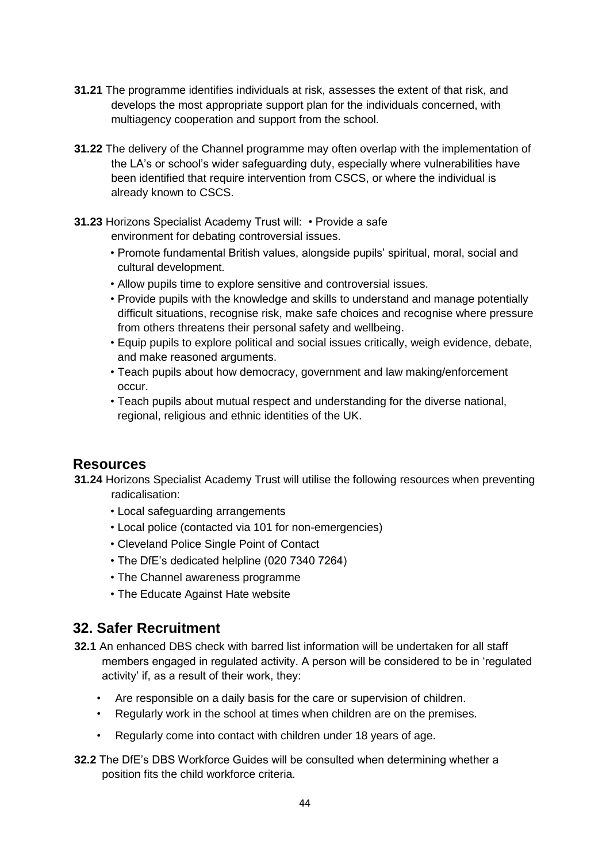- **31.21** The programme identifies individuals at risk, assesses the extent of that risk, and develops the most appropriate support plan for the individuals concerned, with multiagency cooperation and support from the school.
- **31.22** The delivery of the Channel programme may often overlap with the implementation of the LA's or school's wider safeguarding duty, especially where vulnerabilities have been identified that require intervention from CSCS, or where the individual is already known to CSCS.
- **31.23** Horizons Specialist Academy Trust will: Provide a safe environment for debating controversial issues.
	- Promote fundamental British values, alongside pupils' spiritual, moral, social and cultural development.
	- Allow pupils time to explore sensitive and controversial issues.
	- Provide pupils with the knowledge and skills to understand and manage potentially difficult situations, recognise risk, make safe choices and recognise where pressure from others threatens their personal safety and wellbeing.
	- Equip pupils to explore political and social issues critically, weigh evidence, debate, and make reasoned arguments.
	- Teach pupils about how democracy, government and law making/enforcement occur.
	- Teach pupils about mutual respect and understanding for the diverse national, regional, religious and ethnic identities of the UK.

## **Resources**

- **31.24** Horizons Specialist Academy Trust will utilise the following resources when preventing radicalisation:
	- Local safeguarding arrangements
	- Local police (contacted via 101 for non-emergencies)
	- Cleveland Police Single Point of Contact
	- The DfE's dedicated helpline (020 7340 7264)
	- The Channel awareness programme
	- The Educate Against Hate website

## **32. Safer Recruitment**

- **32.1** An enhanced DBS check with barred list information will be undertaken for all staff members engaged in regulated activity. A person will be considered to be in 'regulated activity' if, as a result of their work, they:
	- Are responsible on a daily basis for the care or supervision of children.
	- Regularly work in the school at times when children are on the premises.
	- Regularly come into contact with children under 18 years of age.
- **32.2** The DfE's DBS Workforce Guides will be consulted when determining whether a position fits the child workforce criteria.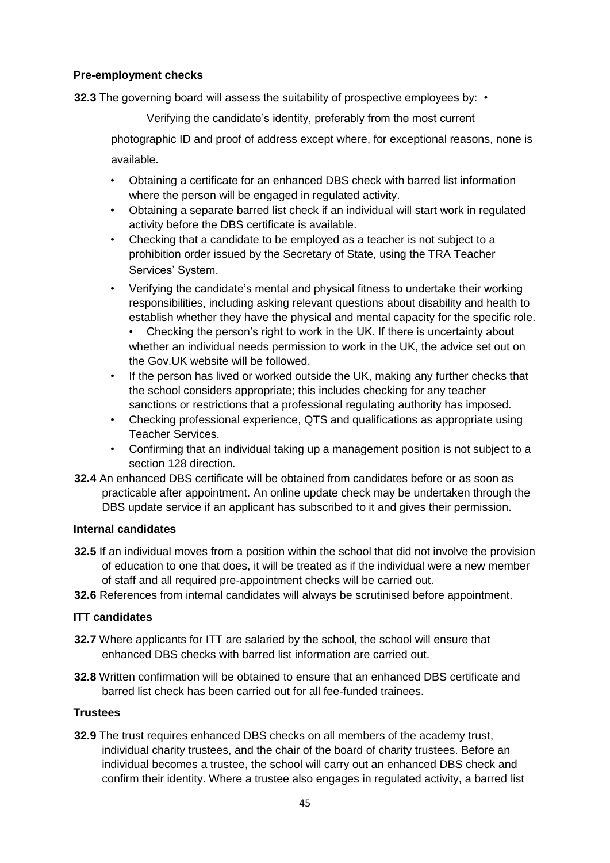#### **Pre-employment checks**

**32.3** The governing board will assess the suitability of prospective employees by: •

Verifying the candidate's identity, preferably from the most current

photographic ID and proof of address except where, for exceptional reasons, none is available.

- Obtaining a certificate for an enhanced DBS check with barred list information where the person will be engaged in regulated activity.
- Obtaining a separate barred list check if an individual will start work in regulated activity before the DBS certificate is available.
- Checking that a candidate to be employed as a teacher is not subject to a prohibition order issued by the Secretary of State, using the TRA Teacher Services' System.
- Verifying the candidate's mental and physical fitness to undertake their working responsibilities, including asking relevant questions about disability and health to establish whether they have the physical and mental capacity for the specific role.

• Checking the person's right to work in the UK. If there is uncertainty about whether an individual needs permission to work in the UK, the advice set out on the Gov.UK website will be followed.

- If the person has lived or worked outside the UK, making any further checks that the school considers appropriate; this includes checking for any teacher sanctions or restrictions that a professional regulating authority has imposed.
- Checking professional experience, QTS and qualifications as appropriate using Teacher Services.
- Confirming that an individual taking up a management position is not subject to a section 128 direction.
- **32.4** An enhanced DBS certificate will be obtained from candidates before or as soon as practicable after appointment. An online update check may be undertaken through the DBS update service if an applicant has subscribed to it and gives their permission.

#### **Internal candidates**

- **32.5** If an individual moves from a position within the school that did not involve the provision of education to one that does, it will be treated as if the individual were a new member of staff and all required pre-appointment checks will be carried out.
- **32.6** References from internal candidates will always be scrutinised before appointment.

#### **ITT candidates**

- **32.7** Where applicants for ITT are salaried by the school, the school will ensure that enhanced DBS checks with barred list information are carried out.
- **32.8** Written confirmation will be obtained to ensure that an enhanced DBS certificate and barred list check has been carried out for all fee-funded trainees.

#### **Trustees**

**32.9** The trust requires enhanced DBS checks on all members of the academy trust, individual charity trustees, and the chair of the board of charity trustees. Before an individual becomes a trustee, the school will carry out an enhanced DBS check and confirm their identity. Where a trustee also engages in regulated activity, a barred list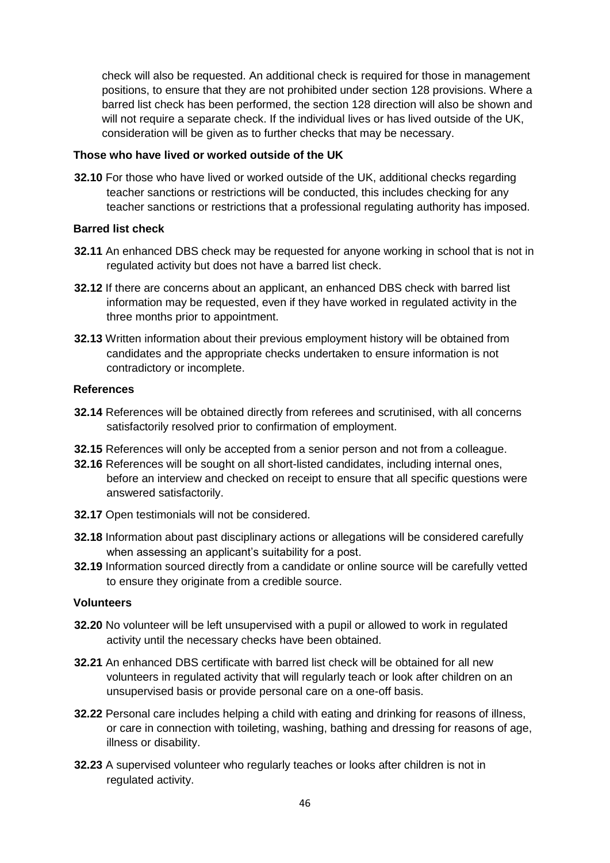check will also be requested. An additional check is required for those in management positions, to ensure that they are not prohibited under section 128 provisions. Where a barred list check has been performed, the section 128 direction will also be shown and will not require a separate check. If the individual lives or has lived outside of the UK, consideration will be given as to further checks that may be necessary.

#### **Those who have lived or worked outside of the UK**

**32.10** For those who have lived or worked outside of the UK, additional checks regarding teacher sanctions or restrictions will be conducted, this includes checking for any teacher sanctions or restrictions that a professional regulating authority has imposed.

#### **Barred list check**

- **32.11** An enhanced DBS check may be requested for anyone working in school that is not in regulated activity but does not have a barred list check.
- **32.12** If there are concerns about an applicant, an enhanced DBS check with barred list information may be requested, even if they have worked in regulated activity in the three months prior to appointment.
- **32.13** Written information about their previous employment history will be obtained from candidates and the appropriate checks undertaken to ensure information is not contradictory or incomplete.

#### **References**

- **32.14** References will be obtained directly from referees and scrutinised, with all concerns satisfactorily resolved prior to confirmation of employment.
- **32.15** References will only be accepted from a senior person and not from a colleague.
- **32.16** References will be sought on all short-listed candidates, including internal ones, before an interview and checked on receipt to ensure that all specific questions were answered satisfactorily.
- **32.17** Open testimonials will not be considered.
- **32.18** Information about past disciplinary actions or allegations will be considered carefully when assessing an applicant's suitability for a post.
- **32.19** Information sourced directly from a candidate or online source will be carefully vetted to ensure they originate from a credible source.

#### **Volunteers**

- **32.20** No volunteer will be left unsupervised with a pupil or allowed to work in regulated activity until the necessary checks have been obtained.
- **32.21** An enhanced DBS certificate with barred list check will be obtained for all new volunteers in regulated activity that will regularly teach or look after children on an unsupervised basis or provide personal care on a one-off basis.
- **32.22** Personal care includes helping a child with eating and drinking for reasons of illness, or care in connection with toileting, washing, bathing and dressing for reasons of age, illness or disability.
- **32.23** A supervised volunteer who regularly teaches or looks after children is not in regulated activity.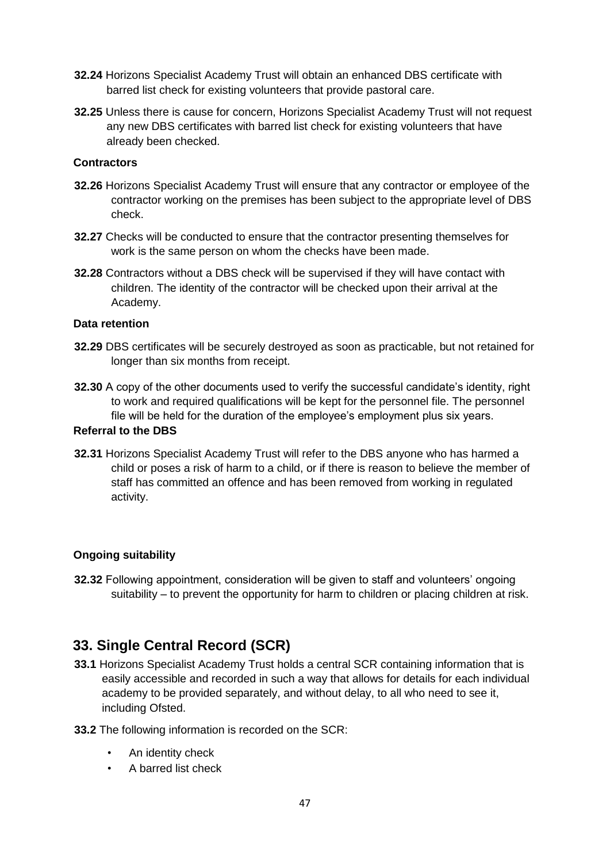- **32.24** Horizons Specialist Academy Trust will obtain an enhanced DBS certificate with barred list check for existing volunteers that provide pastoral care.
- **32.25** Unless there is cause for concern, Horizons Specialist Academy Trust will not request any new DBS certificates with barred list check for existing volunteers that have already been checked.

#### **Contractors**

- **32.26** Horizons Specialist Academy Trust will ensure that any contractor or employee of the contractor working on the premises has been subject to the appropriate level of DBS check.
- **32.27** Checks will be conducted to ensure that the contractor presenting themselves for work is the same person on whom the checks have been made.
- **32.28** Contractors without a DBS check will be supervised if they will have contact with children. The identity of the contractor will be checked upon their arrival at the Academy.

#### **Data retention**

- **32.29** DBS certificates will be securely destroyed as soon as practicable, but not retained for longer than six months from receipt.
- **32.30** A copy of the other documents used to verify the successful candidate's identity, right to work and required qualifications will be kept for the personnel file. The personnel file will be held for the duration of the employee's employment plus six years.

#### **Referral to the DBS**

**32.31** Horizons Specialist Academy Trust will refer to the DBS anyone who has harmed a child or poses a risk of harm to a child, or if there is reason to believe the member of staff has committed an offence and has been removed from working in regulated activity.

#### **Ongoing suitability**

**32.32** Following appointment, consideration will be given to staff and volunteers' ongoing suitability – to prevent the opportunity for harm to children or placing children at risk.

## **33. Single Central Record (SCR)**

- **33.1** Horizons Specialist Academy Trust holds a central SCR containing information that is easily accessible and recorded in such a way that allows for details for each individual academy to be provided separately, and without delay, to all who need to see it, including Ofsted.
- **33.2** The following information is recorded on the SCR:
	- An identity check
	- A barred list check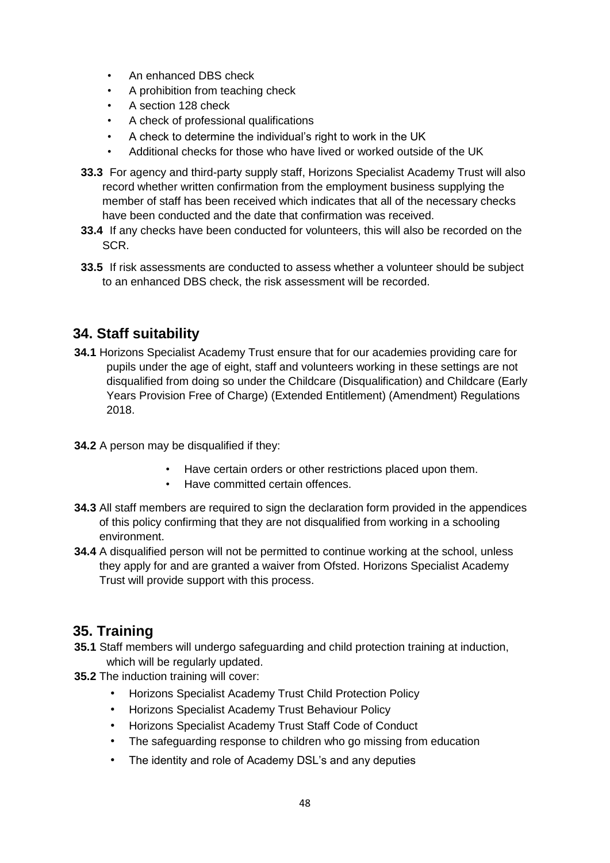- An enhanced DBS check
- A prohibition from teaching check
- A section 128 check
- A check of professional qualifications
- A check to determine the individual's right to work in the UK
- Additional checks for those who have lived or worked outside of the UK
- **33.3** For agency and third-party supply staff, Horizons Specialist Academy Trust will also record whether written confirmation from the employment business supplying the member of staff has been received which indicates that all of the necessary checks have been conducted and the date that confirmation was received.
- **33.4** If any checks have been conducted for volunteers, this will also be recorded on the SCR.
- **33.5** If risk assessments are conducted to assess whether a volunteer should be subject to an enhanced DBS check, the risk assessment will be recorded.

## **34. Staff suitability**

- **34.1** Horizons Specialist Academy Trust ensure that for our academies providing care for pupils under the age of eight, staff and volunteers working in these settings are not disqualified from doing so under the Childcare (Disqualification) and Childcare (Early Years Provision Free of Charge) (Extended Entitlement) (Amendment) Regulations 2018.
- **34.2** A person may be disqualified if they:
	- Have certain orders or other restrictions placed upon them.
	- Have committed certain offences.
- **34.3** All staff members are required to sign the declaration form provided in the appendices of this policy confirming that they are not disqualified from working in a schooling environment.
- **34.4** A disqualified person will not be permitted to continue working at the school, unless they apply for and are granted a waiver from Ofsted. Horizons Specialist Academy Trust will provide support with this process.

## **35. Training**

- **35.1** Staff members will undergo safeguarding and child protection training at induction, which will be regularly updated.
- **35.2** The induction training will cover:
	- Horizons Specialist Academy Trust Child Protection Policy
	- Horizons Specialist Academy Trust Behaviour Policy
	- Horizons Specialist Academy Trust Staff Code of Conduct
	- The safeguarding response to children who go missing from education
	- The identity and role of Academy DSL's and any deputies